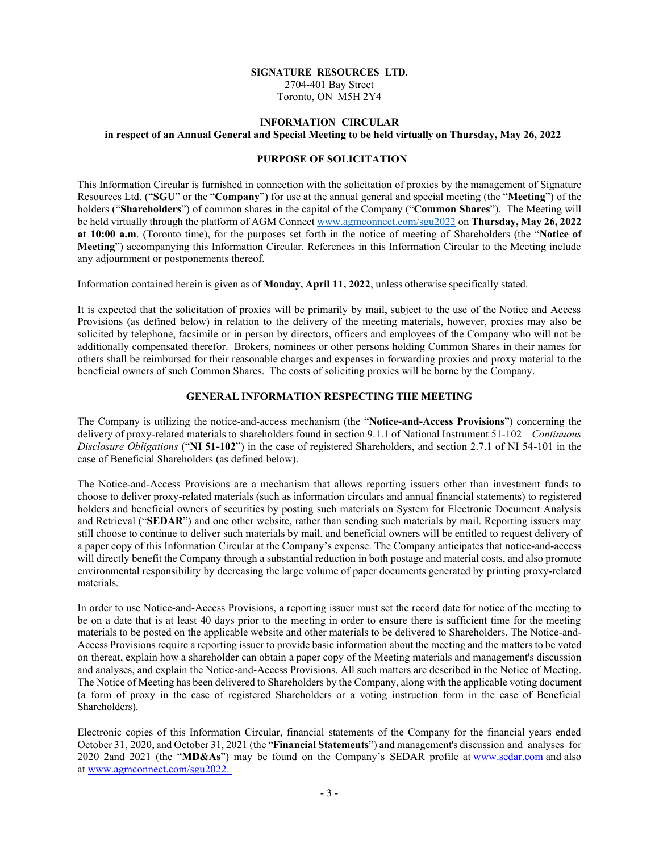## **SIGNATURE RESOURCES LTD.** 2704-401 Bay Street Toronto, ON M5H 2Y4

### **INFORMATION CIRCULAR**

### **in respect of an Annual General and Special Meeting to be held virtually on Thursday, May 26, 2022**

## **PURPOSE OF SOLICITATION**

This Information Circular is furnished in connection with the solicitation of proxies by the management of Signature Resources Ltd. ("SGU" or the "Company") for use at the annual general and special meeting (the "Meeting") of the holders ("**Shareholders**") of common shares in the capital of the Company ("Common Shares"). The Meeting will be held virtually through the platform of AGM Connec[t www.agmconnect.com/sgu2022](http://www.agmconnect.com/sgu2022) on **Thursday, May 26, 2022 at 10:00 a.m.** (Toronto time), for the purposes set forth in the notice of meeting of Shareholders (the "Notice of **Meeting**<sup>"</sup>) accompanying this Information Circular. References in this Information Circular to the Meeting include any adjournment or postponements thereof.

Information contained herein is given as of **Monday, April 11, 2022**, unless otherwise specifically stated.

It is expected that the solicitation of proxies will be primarily by mail, subject to the use of the Notice and Access Provisions (as defined below) in relation to the delivery of the meeting materials, however, proxies may also be solicited by telephone, facsimile or in person by directors, officers and employees of the Company who will not be additionally compensated therefor. Brokers, nominees or other persons holding Common Shares in their names for others shall be reimbursed for their reasonable charges and expenses in forwarding proxies and proxy material to the beneficial owners of such Common Shares. The costs of soliciting proxies will be borne by the Company.

## **GENERAL INFORMATION RESPECTING THE MEETING**

The Company is utilizing the notice-and-access mechanism (the "Notice-and-Access Provisions") concerning the delivery of proxy-related materials to shareholders found in section 9.1.1 of National Instrument 51-102 – *Continuous Disclosure Obligations* ("NI 51-102") in the case of registered Shareholders, and section 2.7.1 of NI 54-101 in the case of Beneficial Shareholders (as defined below).

The Notice-and-Access Provisions are a mechanism that allows reporting issuers other than investment funds to choose to deliver proxy-related materials (such as information circulars and annual financial statements) to registered holders and beneficial owners of securities by posting such materials on System for Electronic Document Analysis and Retrieval ("SEDAR") and one other website, rather than sending such materials by mail. Reporting issuers may still choose to continue to deliver such materials by mail, and beneficial owners will be entitled to request delivery of a paper copy of this Information Circular at the Company's expense. The Company anticipates that notice-and-access will directly benefit the Company through a substantial reduction in both postage and material costs, and also promote environmental responsibility by decreasing the large volume of paper documents generated by printing proxy-related materials.

In order to use Notice-and-Access Provisions, a reporting issuer must set the record date for notice of the meeting to be on a date that is at least 40 days prior to the meeting in order to ensure there is sufficient time for the meeting materials to be posted on the applicable website and other materials to be delivered to Shareholders. The Notice-and-Access Provisions require a reporting issuer to provide basic information about the meeting and the matters to be voted on thereat, explain how a shareholder can obtain a paper copy of the Meeting materials and management's discussion and analyses, and explain the Notice-and-Access Provisions. All such matters are described in the Notice of Meeting. The Notice of Meeting has been delivered to Shareholders by the Company, along with the applicable voting document (a form of proxy in the case of registered Shareholders or a voting instruction form in the case of Beneficial Shareholders).

Electronic copies of this Information Circular, financial statements of the Company for the financial years ended October 31, 2020, and October 31, 2021 (the "**Financial Statements**") and management's discussion and analyses for 2020 2and 2021 (the "MD&As") may be found on the Company's SEDAR profile at [www.sedar.com](http://www.sedar.com/) and also at www.agmconnect.com/sgu2022.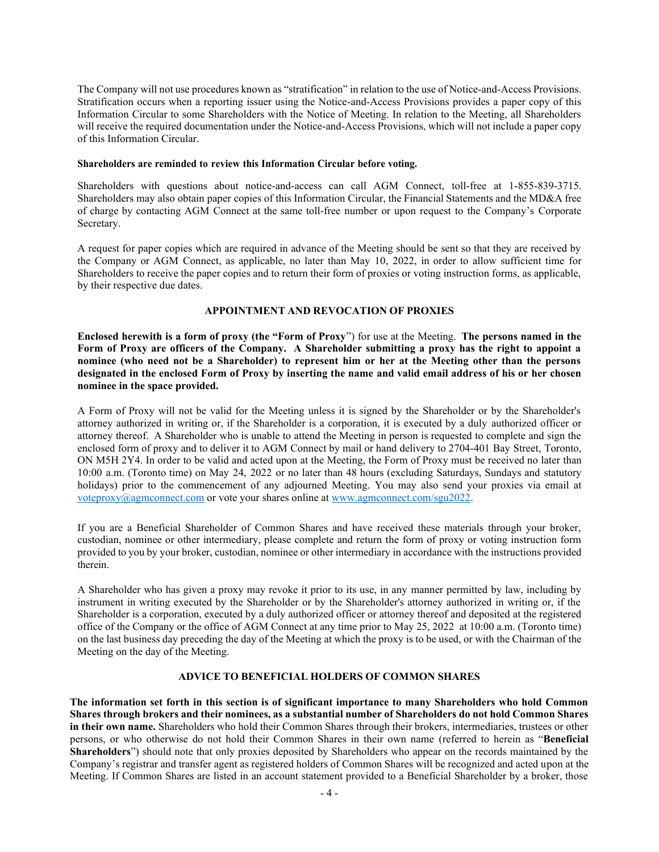The Company will not use procedures known as "stratification" in relation to the use of Notice-and-Access Provisions. Stratification occurs when a reporting issuer using the Notice-and-Access Provisions provides a paper copy of this Information Circular to some Shareholders with the Notice of Meeting. In relation to the Meeting, all Shareholders will receive the required documentation under the Notice-and-Access Provisions, which will not include a paper copy of this Information Circular.

### **Shareholders are reminded to review this Information Circular before voting.**

Shareholders with questions about notice-and-access can call AGM Connect, toll-free at 1-855-839-3715. Shareholders may also obtain paper copies of this Information Circular, the Financial Statements and the MD&A free of charge by contacting AGM Connect at the same toll-free number or upon request to the Company's Corporate Secretary.

A request for paper copies which are required in advance of the Meeting should be sent so that they are received by the Company or AGM Connect, as applicable, no later than May 10, 2022, in order to allow sufficient time for Shareholders to receive the paper copies and to return their form of proxies or voting instruction forms, as applicable, by their respective due dates.

## **APPOINTMENT AND REVOCATION OF PROXIES**

**Enclosed herewith is a form of proxy (the "Form of Proxy")** for use at the Meeting. The persons named in the **Form of Proxy are officers of the Company. A Shareholder submitting a proxy has the right to appoint a nominee (who need not be a Shareholder) to represent him or her at the Meeting other than the persons designated in the enclosed Form of Proxy by inserting the name and valid email address of his or her chosen nominee in the space provided.**

A Form of Proxy will not be valid for the Meeting unless it is signed by the Shareholder or by the Shareholder's attorney authorized in writing or, if the Shareholder is a corporation, it is executed by a duly authorized officer or attorney thereof. A Shareholder who is unable to attend the Meeting in person is requested to complete and sign the enclosed form of proxy and to deliver it to AGM Connect by mail or hand delivery to 2704-401 Bay Street, Toronto, ON M5H 2Y4. In order to be valid and acted upon at the Meeting, the Form of Proxy must be received no later than 10:00 a.m. (Toronto time) on May 24, 2022 or no later than 48 hours (excluding Saturdays, Sundays and statutory holidays) prior to the commencement of any adjourned Meeting. You may also send your proxies via email at [voteproxy@agmconnect.com](mailto:voteproxy@agmconnect.com) or vote your shares online at [www.agmconnect.com/sgu2022.](http://www.agmconnect.com/sgu2022)

If you are a Beneficial Shareholder of Common Shares and have received these materials through your broker, custodian, nominee or other intermediary, please complete and return the form of proxy or voting instruction form provided to you by your broker, custodian, nominee or other intermediary in accordance with the instructions provided therein.

A Shareholder who has given a proxy may revoke it prior to its use, in any manner permitted by law, including by instrument in writing executed by the Shareholder or by the Shareholder's attorney authorized in writing or, if the Shareholder is a corporation, executed by a duly authorized officer or attorney thereof and deposited at the registered office of the Company or the office of AGM Connect at any time prior to May 25, 2022 at 10:00 a.m. (Toronto time) on the last business day preceding the day of the Meeting at which the proxy is to be used, or with the Chairman of the Meeting on the day of the Meeting.

## **ADVICE TO BENEFICIAL HOLDERS OF COMMON SHARES**

**The information set forth in this section is of significant importance to many Shareholders who hold Common Shares through brokers and their nominees, as a substantial number of Shareholders do not hold Common Shares in their own name.** Shareholders who hold their Common Shares through their brokers, intermediaries, trustees or other persons, or who otherwise do not hold their Common Shares in their own name (referred to herein as "**Beneficial Shareholders**") should note that only proxies deposited by Shareholders who appear on the records maintained by the Company's registrar and transfer agent as registered holders of Common Shares will be recognized and acted upon at the Meeting. If Common Shares are listed in an account statement provided to a Beneficial Shareholder by a broker, those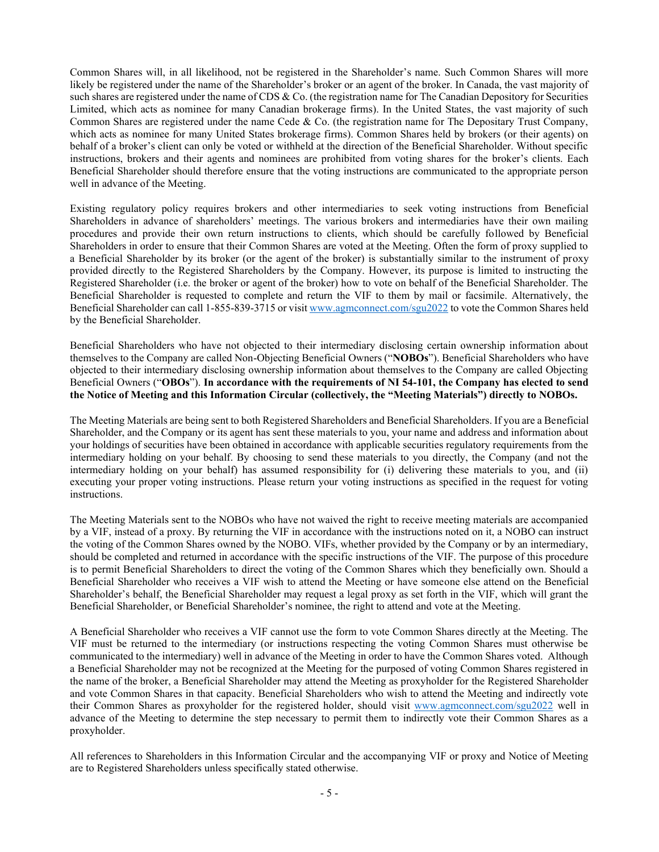Common Shares will, in all likelihood, not be registered in the Shareholder's name. Such Common Shares will more likely be registered under the name of the Shareholder's broker or an agent of the broker. In Canada, the vast majority of such shares are registered under the name of CDS  $&$  Co. (the registration name for The Canadian Depository for Securities Limited, which acts as nominee for many Canadian brokerage firms). In the United States, the vast majority of such Common Shares are registered under the name Cede & Co. (the registration name for The Depositary Trust Company, which acts as nominee for many United States brokerage firms). Common Shares held by brokers (or their agents) on behalf of a broker's client can only be voted or withheld at the direction of the Beneficial Shareholder. Without specific instructions, brokers and their agents and nominees are prohibited from voting shares for the broker's clients. Each Beneficial Shareholder should therefore ensure that the voting instructions are communicated to the appropriate person well in advance of the Meeting.

Existing regulatory policy requires brokers and other intermediaries to seek voting instructions from Beneficial Shareholders in advance of shareholders' meetings. The various brokers and intermediaries have their own mailing procedures and provide their own return instructions to clients, which should be carefully followed by Beneficial Shareholders in order to ensure that their Common Shares are voted at the Meeting. Often the form of proxy supplied to a Beneficial Shareholder by its broker (or the agent of the broker) is substantially similar to the instrument of proxy provided directly to the Registered Shareholders by the Company. However, its purpose is limited to instructing the Registered Shareholder (i.e. the broker or agent of the broker) how to vote on behalf of the Beneficial Shareholder. The Beneficial Shareholder is requested to complete and return the VIF to them by mail or facsimile. Alternatively, the Beneficial Shareholder can call 1-855-839-3715 or visi[t www.agmconnect.com/sgu2022](http://www.agmconnect.com/sgu2022) to vote the Common Shares held by the Beneficial Shareholder.

Beneficial Shareholders who have not objected to their intermediary disclosing certain ownership information about themselves to the Company are called Non-Objecting Beneficial Owners ("NOBOs"). Beneficial Shareholders who have objected to their intermediary disclosing ownership information about themselves to the Company are called Objecting Beneficial Owners ("OBOs"). In accordance with the requirements of NI 54-101, the Company has elected to send the Notice of Meeting and this Information Circular (collectively, the "Meeting Materials") directly to NOBOs.

The Meeting Materials are being sent to both Registered Shareholders and Beneficial Shareholders. If you are a Beneficial Shareholder, and the Company or its agent has sent these materials to you, your name and address and information about your holdings of securities have been obtained in accordance with applicable securities regulatory requirements from the intermediary holding on your behalf. By choosing to send these materials to you directly, the Company (and not the intermediary holding on your behalf) has assumed responsibility for (i) delivering these materials to you, and (ii) executing your proper voting instructions. Please return your voting instructions as specified in the request for voting instructions.

The Meeting Materials sent to the NOBOs who have not waived the right to receive meeting materials are accompanied by a VIF, instead of a proxy. By returning the VIF in accordance with the instructions noted on it, a NOBO can instruct the voting of the Common Shares owned by the NOBO. VIFs, whether provided by the Company or by an intermediary, should be completed and returned in accordance with the specific instructions of the VIF. The purpose of this procedure is to permit Beneficial Shareholders to direct the voting of the Common Shares which they beneficially own. Should a Beneficial Shareholder who receives a VIF wish to attend the Meeting or have someone else attend on the Beneficial Shareholder's behalf, the Beneficial Shareholder may request a legal proxy as set forth in the VIF, which will grant the Beneficial Shareholder, or Beneficial Shareholder's nominee, the right to attend and vote at the Meeting.

A Beneficial Shareholder who receives a VIF cannot use the form to vote Common Shares directly at the Meeting. The VIF must be returned to the intermediary (or instructions respecting the voting Common Shares must otherwise be communicated to the intermediary) well in advance of the Meeting in order to have the Common Shares voted. Although a Beneficial Shareholder may not be recognized at the Meeting for the purposed of voting Common Shares registered in the name of the broker, a Beneficial Shareholder may attend the Meeting as proxyholder for the Registered Shareholder and vote Common Shares in that capacity. Beneficial Shareholders who wish to attend the Meeting and indirectly vote their Common Shares as proxyholder for the registered holder, should visit [www.agmconnect.com/sgu2022](http://www.agmconnect.com/sgu2022) well in advance of the Meeting to determine the step necessary to permit them to indirectly vote their Common Shares as a proxyholder.

All references to Shareholders in this Information Circular and the accompanying VIF or proxy and Notice of Meeting are to Registered Shareholders unless specifically stated otherwise.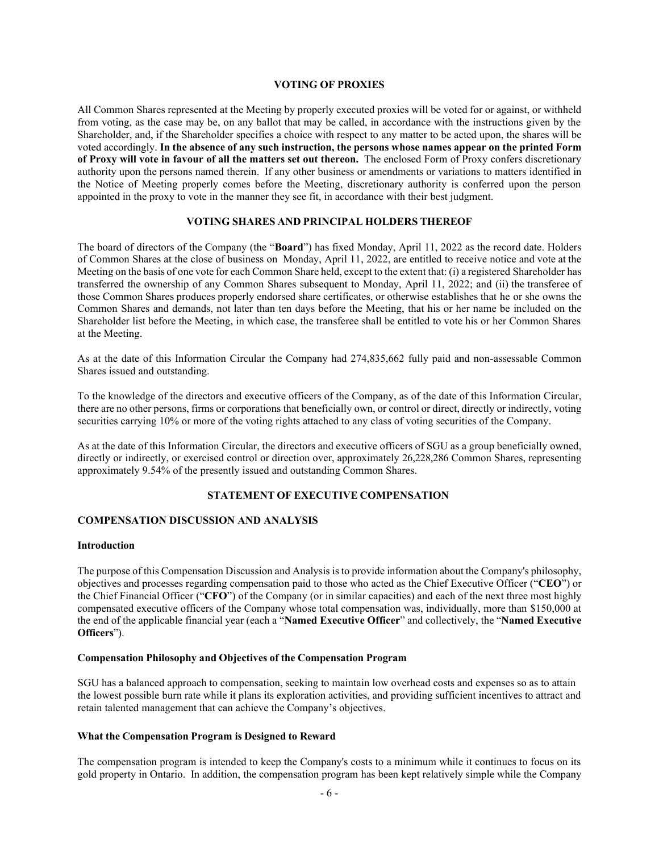## **VOTING OF PROXIES**

All Common Shares represented at the Meeting by properly executed proxies will be voted for or against, or withheld from voting, as the case may be, on any ballot that may be called, in accordance with the instructions given by the Shareholder, and, if the Shareholder specifies a choice with respect to any matter to be acted upon, the shares will be voted accordingly. **In the absence of any such instruction, the persons whose names appear on the printed Form of Proxy will vote in favour of all the matters set out thereon.** The enclosed Form of Proxy confers discretionary authority upon the persons named therein. If any other business or amendments or variations to matters identified in the Notice of Meeting properly comes before the Meeting, discretionary authority is conferred upon the person appointed in the proxy to vote in the manner they see fit, in accordance with their best judgment.

### **VOTING SHARES AND PRINCIPAL HOLDERS THEREOF**

The board of directors of the Company (the "**Board**") has fixed Monday, April 11, 2022 as the record date. Holders of Common Shares at the close of business on Monday, April 11, 2022, are entitled to receive notice and vote at the Meeting on the basis of one vote for each Common Share held, except to the extent that: (i) a registered Shareholder has transferred the ownership of any Common Shares subsequent to Monday, April 11, 2022; and (ii) the transferee of those Common Shares produces properly endorsed share certificates, or otherwise establishes that he or she owns the Common Shares and demands, not later than ten days before the Meeting, that his or her name be included on the Shareholder list before the Meeting, in which case, the transferee shall be entitled to vote his or her Common Shares at the Meeting.

As at the date of this Information Circular the Company had 274,835,662 fully paid and non-assessable Common Shares issued and outstanding.

To the knowledge of the directors and executive officers of the Company, as of the date of this Information Circular, there are no other persons, firms or corporations that beneficially own, or control or direct, directly or indirectly, voting securities carrying 10% or more of the voting rights attached to any class of voting securities of the Company.

As at the date of this Information Circular, the directors and executive officers of SGU as a group beneficially owned, directly or indirectly, or exercised control or direction over, approximately 26,228,286 Common Shares, representing approximately 9.54% of the presently issued and outstanding Common Shares.

### **STATEMENT OF EXECUTIVE COMPENSATION**

### **COMPENSATION DISCUSSION AND ANALYSIS**

#### **Introduction**

The purpose of this Compensation Discussion and Analysis isto provide information about the Company's philosophy, objectives and processes regarding compensation paid to those who acted as the Chief Executive Officer (³**CEO**´) or the Chief Financial Officer ("CFO") of the Company (or in similar capacities) and each of the next three most highly compensated executive officers of the Company whose total compensation was, individually, more than \$150,000 at the end of the applicable financial year (each a ³**Named Executive Officer**´ and collectively, the ³**Named Executive Officers**´).

### **Compensation Philosophy and Objectives of the Compensation Program**

SGU has a balanced approach to compensation, seeking to maintain low overhead costs and expenses so as to attain the lowest possible burn rate while it plans its exploration activities, and providing sufficient incentives to attract and retain talented management that can achieve the Company's objectives.

#### **What the Compensation Program is Designed to Reward**

The compensation program is intended to keep the Company's costs to a minimum while it continues to focus on its gold property in Ontario. In addition, the compensation program has been kept relatively simple while the Company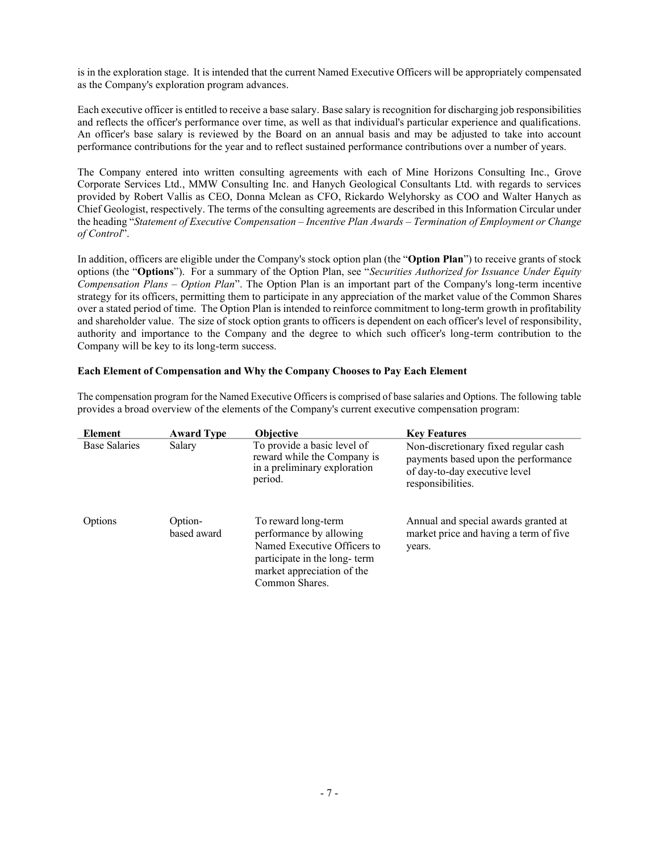is in the exploration stage. It is intended that the current Named Executive Officers will be appropriately compensated as the Company's exploration program advances.

Each executive officer is entitled to receive a base salary. Base salary is recognition for discharging job responsibilities and reflects the officer's performance over time, as well as that individual's particular experience and qualifications. An officer's base salary is reviewed by the Board on an annual basis and may be adjusted to take into account performance contributions for the year and to reflect sustained performance contributions over a number of years.

The Company entered into written consulting agreements with each of Mine Horizons Consulting Inc., Grove Corporate Services Ltd., MMW Consulting Inc. and Hanych Geological Consultants Ltd. with regards to services provided by Robert Vallis as CEO, Donna Mclean as CFO, Rickardo Welyhorsky as COO and Walter Hanych as Chief Geologist, respectively. The terms of the consulting agreements are described in this Information Circular under the heading ³*Statement of Executive Compensation ± Incentive Plan Awards ± Termination of Employment or Change of Control*´.

In addition, officers are eligible under the Company's stock option plan (the "Option Plan") to receive grants of stock options (the "Options"). For a summary of the Option Plan, see "Securities Authorized for Issuance Under Equity *Compensation Plans – Option Plan*". The Option Plan is an important part of the Company's long-term incentive strategy for its officers, permitting them to participate in any appreciation of the market value of the Common Shares over a stated period of time. The Option Plan is intended to reinforce commitment to long-term growth in profitability and shareholder value. The size of stock option grants to officers is dependent on each officer's level of responsibility, authority and importance to the Company and the degree to which such officer's long-term contribution to the Company will be key to its long-term success.

### **Each Element of Compensation and Why the Company Chooses to Pay Each Element**

The compensation program for the Named Executive Officers is comprised of base salaries and Options. The following table provides a broad overview of the elements of the Company's current executive compensation program:

| Element              | <b>Award Type</b>      | <b>Objective</b>                                                                                                                                              | <b>Key Features</b>                                                                                                               |
|----------------------|------------------------|---------------------------------------------------------------------------------------------------------------------------------------------------------------|-----------------------------------------------------------------------------------------------------------------------------------|
| <b>Base Salaries</b> | Salary                 | To provide a basic level of<br>reward while the Company is<br>in a preliminary exploration<br>period.                                                         | Non-discretionary fixed regular cash<br>payments based upon the performance<br>of day-to-day executive level<br>responsibilities. |
| Options              | Option-<br>based award | To reward long-term<br>performance by allowing<br>Named Executive Officers to<br>participate in the long-term<br>market appreciation of the<br>Common Shares. | Annual and special awards granted at<br>market price and having a term of five<br>years.                                          |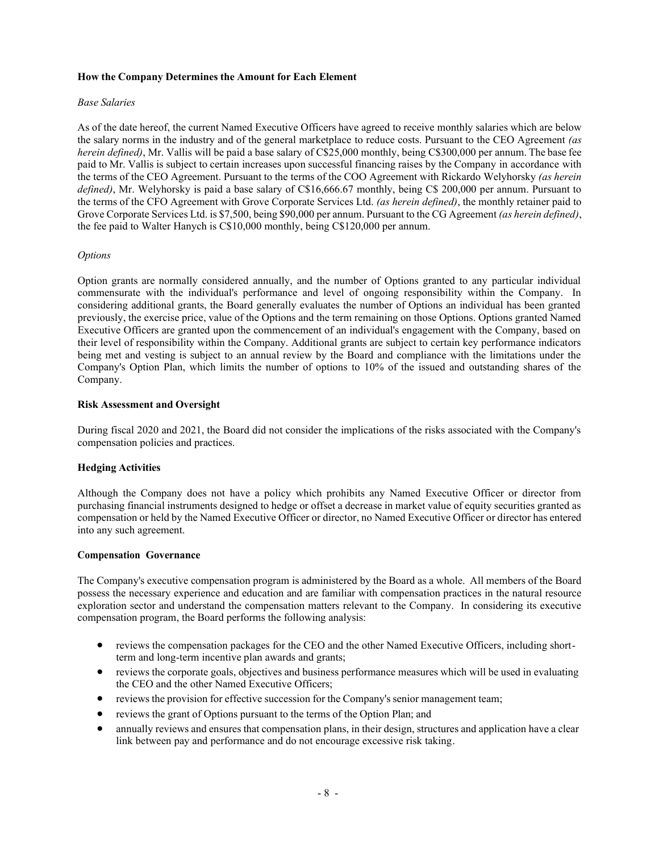## **How the Company Determines the Amount for Each Element**

### *Base Salaries*

As of the date hereof, the current Named Executive Officers have agreed to receive monthly salaries which are below the salary norms in the industry and of the general marketplace to reduce costs. Pursuant to the CEO Agreement *(as herein defined*), Mr. Vallis will be paid a base salary of C\$25,000 monthly, being C\$300,000 per annum. The base fee paid to Mr. Vallis is subject to certain increases upon successful financing raises by the Company in accordance with the terms of the CEO Agreement. Pursuant to the terms of the COO Agreement with Rickardo Welyhorsky *(as herein defined)*, Mr. Welyhorsky is paid a base salary of C\$16,666.67 monthly, being C\$ 200,000 per annum. Pursuant to the terms of the CFO Agreement with Grove Corporate Services Ltd. *(as herein defined)*, the monthly retainer paid to Grove Corporate Services Ltd. is \$7,500, being \$90,000 per annum. Pursuant to the CG Agreement *(as herein defined)*, the fee paid to Walter Hanych is C\$10,000 monthly, being C\$120,000 per annum.

### *Options*

Option grants are normally considered annually, and the number of Options granted to any particular individual commensurate with the individual's performance and level of ongoing responsibility within the Company. In considering additional grants, the Board generally evaluates the number of Options an individual has been granted previously, the exercise price, value of the Options and the term remaining on those Options. Options granted Named Executive Officers are granted upon the commencement of an individual's engagement with the Company, based on their level of responsibility within the Company. Additional grants are subject to certain key performance indicators being met and vesting is subject to an annual review by the Board and compliance with the limitations under the Company's Option Plan, which limits the number of options to 10% of the issued and outstanding shares of the Company.

### **Risk Assessment and Oversight**

During fiscal 2020 and 2021, the Board did not consider the implications of the risks associated with the Company's compensation policies and practices.

### **Hedging Activities**

Although the Company does not have a policy which prohibits any Named Executive Officer or director from purchasing financial instruments designed to hedge or offset a decrease in market value of equity securities granted as compensation or held by the Named Executive Officer or director, no Named Executive Officer or director has entered into any such agreement.

### **Compensation Governance**

The Company's executive compensation program is administered by the Board as a whole. All members of the Board possess the necessary experience and education and are familiar with compensation practices in the natural resource exploration sector and understand the compensation matters relevant to the Company. In considering its executive compensation program, the Board performs the following analysis:

- reviews the compensation packages for the CEO and the other Named Executive Officers, including shortterm and long-term incentive plan awards and grants;
- reviews the corporate goals, objectives and business performance measures which will be used in evaluating the CEO and the other Named Executive Officers;
- reviews the provision for effective succession for the Company's senior management team;
- reviews the grant of Options pursuant to the terms of the Option Plan; and
- annually reviews and ensures that compensation plans, in their design, structures and application have a clear link between pay and performance and do not encourage excessive risk taking.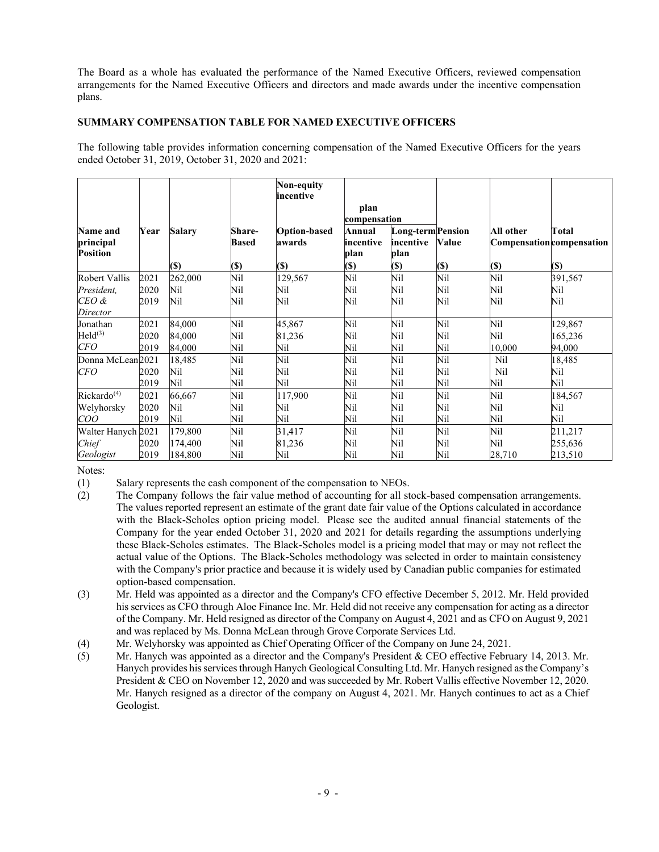The Board as a whole has evaluated the performance of the Named Executive Officers, reviewed compensation arrangements for the Named Executive Officers and directors and made awards under the incentive compensation plans.

## **SUMMARY COMPENSATION TABLE FOR NAMED EXECUTIVE OFFICERS**

The following table provides information concerning compensation of the Named Executive Officers for the years ended October 31, 2019, October 31, 2020 and 2021:

|                                          |      |               |                        | Non-equity<br>incentive       |                             |                                        |              |           |                                           |
|------------------------------------------|------|---------------|------------------------|-------------------------------|-----------------------------|----------------------------------------|--------------|-----------|-------------------------------------------|
|                                          |      |               |                        |                               | plan<br>compensation        |                                        |              |           |                                           |
| Name and<br>principal<br><b>Position</b> | Year | <b>Salary</b> | Share-<br><b>Based</b> | <b>Option-based</b><br>awards | Annual<br>incentive<br>plan | Long-term Pension<br>incentive<br>plan | <b>Value</b> | All other | Total<br><b>Compensation</b> compensation |
|                                          |      | (S)           | <b>(\$)</b>            | (S)                           | (S)                         | (\$)                                   | $(s)$        | $($)$     | $(\$)$                                    |
| Robert Vallis                            | 2021 | 262,000       | Nil                    | 129,567                       | Nil                         | Nil                                    | Nil          | Nil       | 391,567                                   |
| President,                               | 2020 | Nil           | Nil                    | Nil                           | Nil                         | Nil                                    | Nil          | Nil       | Nil                                       |
| $CEO$ &<br>Director                      | 2019 | Nil           | Nil                    | Nil                           | Nil                         | Nil                                    | Nil          | Nil       | Nil                                       |
| Jonathan                                 | 2021 | 84,000        | Nil                    | 45,867                        | Nil                         | Nil                                    | Nil          | Nil       | 129,867                                   |
| Held <sup>(3)</sup>                      | 2020 | 84,000        | Nil                    | 81,236                        | Nil                         | Nil                                    | Nil          | Nil       | 165,236                                   |
| CFO                                      | 2019 | 84,000        | Nil                    | Nil                           | Nil                         | Nil                                    | Nil          | 10,000    | 94,000                                    |
| Donna McLean <sub>2021</sub>             |      | 18,485        | Nil                    | Nil                           | Nil                         | Nil                                    | Nil          | Nil       | 18,485                                    |
| <b>CFO</b>                               | 2020 | Nil           | Nil                    | Nil                           | Nil                         | Nil                                    | Nil          | Nil       | Nil                                       |
|                                          | 2019 | Nil           | Nil                    | Nil                           | Nil                         | Nil                                    | Nil          | Nil       | Nil                                       |
| Rickardo <sup>(4)</sup>                  | 2021 | 66,667        | Nil                    | 117,900                       | Nil                         | Nil                                    | Nil          | Nil       | 184,567                                   |
| Welyhorsky                               | 2020 | Nil           | Nil                    | Nil                           | Nil                         | Nil                                    | Nil          | Nil       | Nil                                       |
| COO                                      | 2019 | Nil           | Nil                    | Nil                           | Nil                         | Nil                                    | Nil          | Nil       | Nil                                       |
| Walter Hanych 2021                       |      | 179,800       | Nil                    | 31,417                        | Nil                         | Nil                                    | Nil          | Nil       | 211,217                                   |
| Chief                                    | 2020 | 174,400       | Nil                    | 81,236                        | Nil                         | Nil                                    | Nil          | Nil       | 255,636                                   |
| Geologist                                | 2019 | 184,800       | Nil                    | Nil                           | Nil                         | Nil                                    | Nil          | 28,710    | 213,510                                   |

Notes:

(1) Salary represents the cash component of the compensation to NEOs.

- (2) The Company follows the fair value method of accounting for all stock-based compensation arrangements. The values reported represent an estimate of the grant date fair value of the Options calculated in accordance with the Black-Scholes option pricing model. Please see the audited annual financial statements of the Company for the year ended October 31, 2020 and 2021 for details regarding the assumptions underlying these Black-Scholes estimates. The Black-Scholes model is a pricing model that may or may not reflect the actual value of the Options. The Black-Scholes methodology was selected in order to maintain consistency with the Company's prior practice and because it is widely used by Canadian public companies for estimated option-based compensation.
- (3) Mr. Held was appointed as a director and the Company's CFO effective December 5, 2012. Mr. Held provided his services as CFO through Aloe Finance Inc. Mr. Held did not receive any compensation for acting as a director of the Company. Mr. Held resigned as director of the Company on August 4, 2021 and as CFO on August 9, 2021 and was replaced by Ms. Donna McLean through Grove Corporate Services Ltd.
- (4) Mr. Welyhorsky was appointed as Chief Operating Officer of the Company on June 24, 2021.
- (5) Mr. Hanych was appointed as a director and the Company's President & CEO effective February 14, 2013. Mr. Hanych provides his services through Hanych Geological Consulting Ltd. Mr. Hanych resigned as the Company's President & CEO on November 12, 2020 and was succeeded by Mr. Robert Vallis effective November 12, 2020. Mr. Hanych resigned as a director of the company on August 4, 2021. Mr. Hanych continues to act as a Chief Geologist.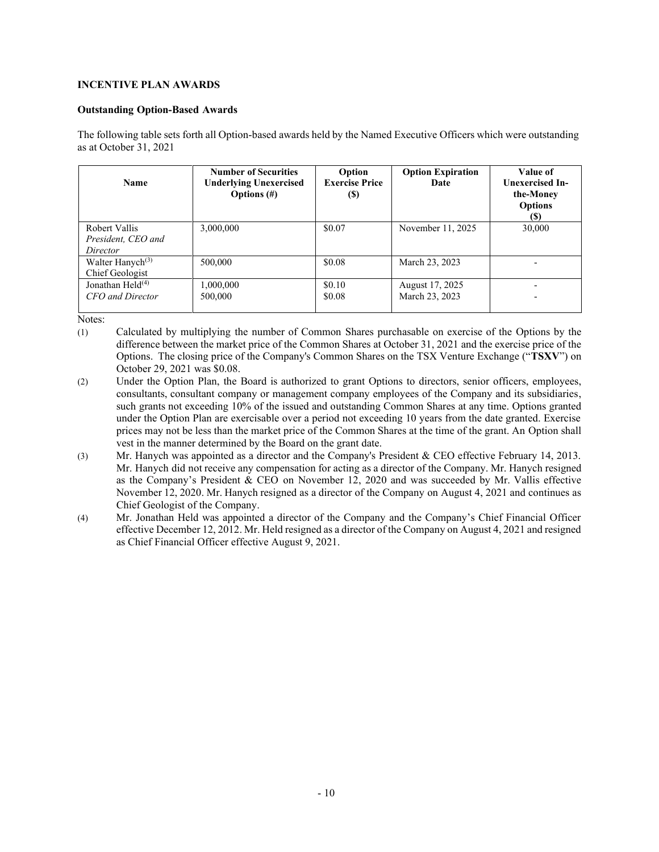## **INCENTIVE PLAN AWARDS**

## **Outstanding Option-Based Awards**

The following table sets forth all Option-based awards held by the Named Executive Officers which were outstanding as at October 31, 2021

| <b>Name</b>                                     | <b>Number of Securities</b><br><b>Underlying Unexercised</b><br>Options $(\#)$ | Option<br><b>Exercise Price</b><br>(S) | <b>Option Expiration</b><br>Date  | Value of<br><b>Unexercised In-</b><br>the-Money<br><b>Options</b><br>(S) |
|-------------------------------------------------|--------------------------------------------------------------------------------|----------------------------------------|-----------------------------------|--------------------------------------------------------------------------|
| Robert Vallis<br>President, CEO and<br>Director | 3,000,000                                                                      | \$0.07                                 | November 11, 2025                 | 30,000                                                                   |
| Walter Hanych <sup>(3)</sup><br>Chief Geologist | 500,000                                                                        | \$0.08                                 | March 23, 2023                    |                                                                          |
| Jonathan Held $(4)$<br>CFO and Director         | 1,000,000<br>500,000                                                           | \$0.10<br>\$0.08                       | August 17, 2025<br>March 23, 2023 |                                                                          |

Notes:

- (1) Calculated by multiplying the number of Common Shares purchasable on exercise of the Options by the difference between the market price of the Common Shares at October 31, 2021 and the exercise price of the Options. The closing price of the Company's Common Shares on the TSX Venture Exchange ("**TSXV**") on October 29, 2021 was \$0.08.
- (2) Under the Option Plan, the Board is authorized to grant Options to directors, senior officers, employees, consultants, consultant company or management company employees of the Company and its subsidiaries, such grants not exceeding 10% of the issued and outstanding Common Shares at any time. Options granted under the Option Plan are exercisable over a period not exceeding 10 years from the date granted. Exercise prices may not be less than the market price of the Common Shares at the time of the grant. An Option shall vest in the manner determined by the Board on the grant date.
- (3) Mr. Hanych was appointed as a director and the Company's President & CEO effective February 14, 2013. Mr. Hanych did not receive any compensation for acting as a director of the Company. Mr. Hanych resigned as the Company's President  $&$  CEO on November 12, 2020 and was succeeded by Mr. Vallis effective November 12, 2020. Mr. Hanych resigned as a director of the Company on August 4, 2021 and continues as Chief Geologist of the Company.
- (4) Mr. Jonathan Held was appointed a director of the Company and the Company's Chief Financial Officer effective December 12, 2012. Mr. Held resigned as a director of the Company on August 4, 2021 and resigned as Chief Financial Officer effective August 9, 2021.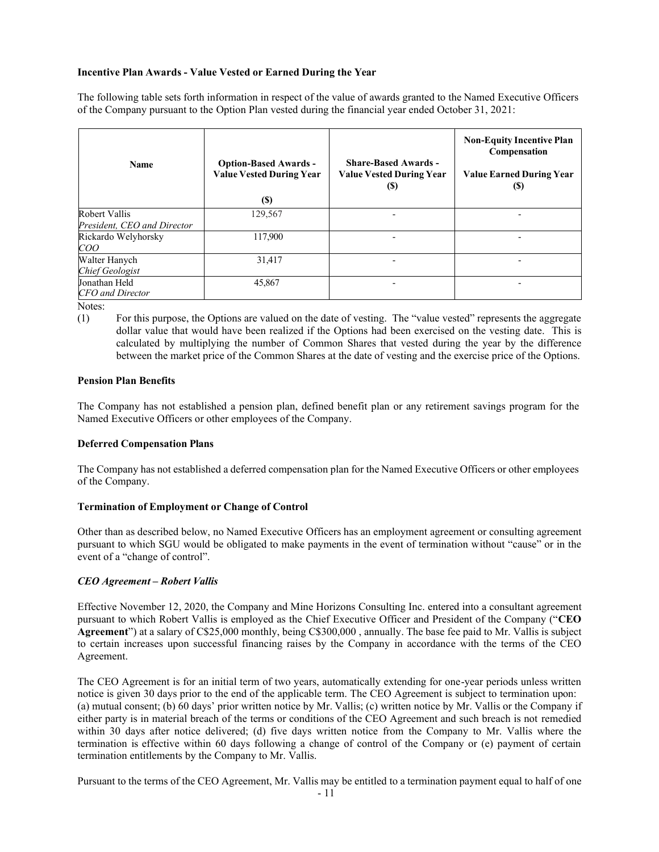### **Incentive Plan Awards - Value Vested or Earned During the Year**

The following table sets forth information in respect of the value of awards granted to the Named Executive Officers of the Company pursuant to the Option Plan vested during the financial year ended October 31, 2021:

| <b>Name</b>                                  | <b>Option-Based Awards -</b><br><b>Value Vested During Year</b><br>(S) | <b>Share-Based Awards -</b><br><b>Value Vested During Year</b><br>(S) | <b>Non-Equity Incentive Plan</b><br>Compensation<br><b>Value Earned During Year</b><br>(S) |
|----------------------------------------------|------------------------------------------------------------------------|-----------------------------------------------------------------------|--------------------------------------------------------------------------------------------|
| Robert Vallis<br>President, CEO and Director | 129,567                                                                |                                                                       |                                                                                            |
| Rickardo Welyhorsky<br>COO                   | 117,900                                                                |                                                                       |                                                                                            |
| Walter Hanych<br><b>Chief Geologist</b>      | 31,417                                                                 |                                                                       |                                                                                            |
| Jonathan Held<br><b>CFO</b> and Director     | 45,867                                                                 |                                                                       |                                                                                            |

Notes:

(1) For this purpose, the Options are valued on the date of vesting. The "value vested" represents the aggregate dollar value that would have been realized if the Options had been exercised on the vesting date. This is calculated by multiplying the number of Common Shares that vested during the year by the difference between the market price of the Common Shares at the date of vesting and the exercise price of the Options.

### **Pension Plan Benefits**

The Company has not established a pension plan, defined benefit plan or any retirement savings program for the Named Executive Officers or other employees of the Company.

### **Deferred Compensation Plans**

The Company has not established a deferred compensation plan for the Named Executive Officers or other employees of the Company.

### **Termination of Employment or Change of Control**

Other than as described below, no Named Executive Officers has an employment agreement or consulting agreement pursuant to which SGU would be obligated to make payments in the event of termination without "cause" or in the event of a "change of control".

## *CEO Agreement – Robert Vallis*

Effective November 12, 2020, the Company and Mine Horizons Consulting Inc. entered into a consultant agreement pursuant to which Robert Vallis is employed as the Chief Executive Officer and President of the Company ("CEO Agreement") at a salary of C\$25,000 monthly, being C\$300,000, annually. The base fee paid to Mr. Vallis is subject to certain increases upon successful financing raises by the Company in accordance with the terms of the CEO Agreement.

The CEO Agreement is for an initial term of two years, automatically extending for one-year periods unless written notice is given 30 days prior to the end of the applicable term. The CEO Agreement is subject to termination upon: (a) mutual consent; (b) 60 days' prior written notice by Mr. Vallis; (c) written notice by Mr. Vallis or the Company if either party is in material breach of the terms or conditions of the CEO Agreement and such breach is not remedied within 30 days after notice delivered; (d) five days written notice from the Company to Mr. Vallis where the termination is effective within 60 days following a change of control of the Company or (e) payment of certain termination entitlements by the Company to Mr. Vallis.

Pursuant to the terms of the CEO Agreement, Mr. Vallis may be entitled to a termination payment equal to half of one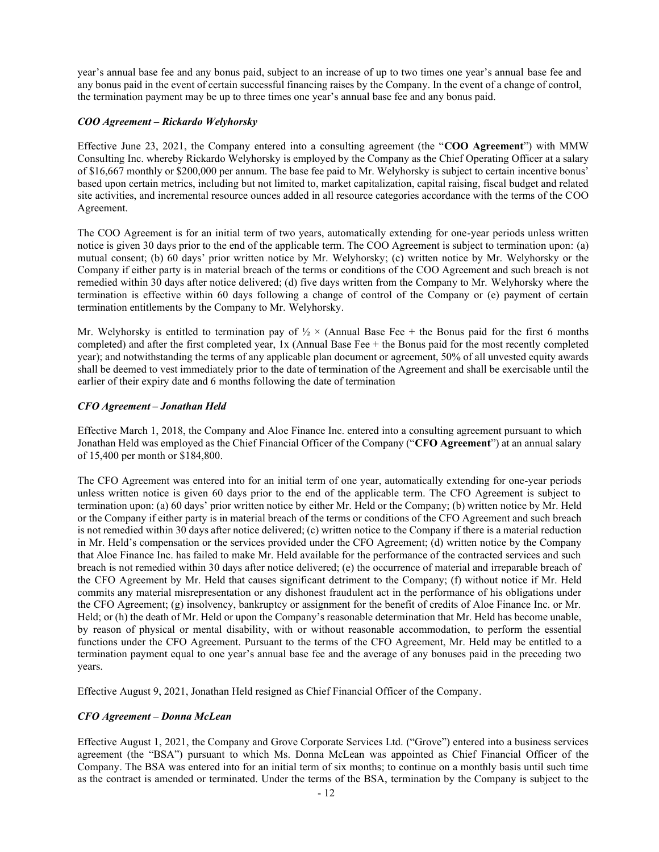year's annual base fee and any bonus paid, subject to an increase of up to two times one year's annual base fee and any bonus paid in the event of certain successful financing raises by the Company. In the event of a change of control, the termination payment may be up to three times one year's annual base fee and any bonus paid.

## *COO Agreement – Rickardo Welyhorsky*

Effective June 23, 2021, the Company entered into a consulting agreement (the "**COO Agreement**") with MMW Consulting Inc. whereby Rickardo Welyhorsky is employed by the Company as the Chief Operating Officer at a salary of \$16,667 monthly or \$200,000 per annum. The base fee paid to Mr. Welyhorsky is subject to certain incentive bonus' based upon certain metrics, including but not limited to, market capitalization, capital raising, fiscal budget and related site activities, and incremental resource ounces added in all resource categories accordance with the terms of the COO Agreement.

The COO Agreement is for an initial term of two years, automatically extending for one-year periods unless written notice is given 30 days prior to the end of the applicable term. The COO Agreement is subject to termination upon: (a) mutual consent; (b) 60 days' prior written notice by Mr. Welyhorsky; (c) written notice by Mr. Welyhorsky or the Company if either party is in material breach of the terms or conditions of the COO Agreement and such breach is not remedied within 30 days after notice delivered; (d) five days written from the Company to Mr. Welyhorsky where the termination is effective within 60 days following a change of control of the Company or (e) payment of certain termination entitlements by the Company to Mr. Welyhorsky.

Mr. Welyhorsky is entitled to termination pay of  $\frac{1}{2} \times$  (Annual Base Fee + the Bonus paid for the first 6 months completed) and after the first completed year, 1x (Annual Base Fee + the Bonus paid for the most recently completed year); and notwithstanding the terms of any applicable plan document or agreement, 50% of all unvested equity awards shall be deemed to vest immediately prior to the date of termination of the Agreement and shall be exercisable until the earlier of their expiry date and 6 months following the date of termination

## *CFO Agreement – Jonathan Held*

Effective March 1, 2018, the Company and Aloe Finance Inc. entered into a consulting agreement pursuant to which Jonathan Held was employed as the Chief Financial Officer of the Company ("CFO Agreement") at an annual salary of 15,400 per month or \$184,800.

The CFO Agreement was entered into for an initial term of one year, automatically extending for one-year periods unless written notice is given 60 days prior to the end of the applicable term. The CFO Agreement is subject to termination upon: (a) 60 days' prior written notice by either Mr. Held or the Company; (b) written notice by Mr. Held or the Company if either party is in material breach of the terms or conditions of the CFO Agreement and such breach is not remedied within 30 days after notice delivered; (c) written notice to the Company if there is a material reduction in Mr. Held's compensation or the services provided under the CFO Agreement; (d) written notice by the Company that Aloe Finance Inc. has failed to make Mr. Held available for the performance of the contracted services and such breach is not remedied within 30 days after notice delivered; (e) the occurrence of material and irreparable breach of the CFO Agreement by Mr. Held that causes significant detriment to the Company; (f) without notice if Mr. Held commits any material misrepresentation or any dishonest fraudulent act in the performance of his obligations under the CFO Agreement; (g) insolvency, bankruptcy or assignment for the benefit of credits of Aloe Finance Inc. or Mr. Held; or (h) the death of Mr. Held or upon the Company's reasonable determination that Mr. Held has become unable, by reason of physical or mental disability, with or without reasonable accommodation, to perform the essential functions under the CFO Agreement. Pursuant to the terms of the CFO Agreement, Mr. Held may be entitled to a termination payment equal to one year's annual base fee and the average of any bonuses paid in the preceding two years.

Effective August 9, 2021, Jonathan Held resigned as Chief Financial Officer of the Company.

# *CFO Agreement – Donna McLean*

Effective August 1, 2021, the Company and Grove Corporate Services Ltd. ("Grove") entered into a business services agreement (the "BSA") pursuant to which Ms. Donna McLean was appointed as Chief Financial Officer of the Company. The BSA was entered into for an initial term of six months; to continue on a monthly basis until such time as the contract is amended or terminated. Under the terms of the BSA, termination by the Company is subject to the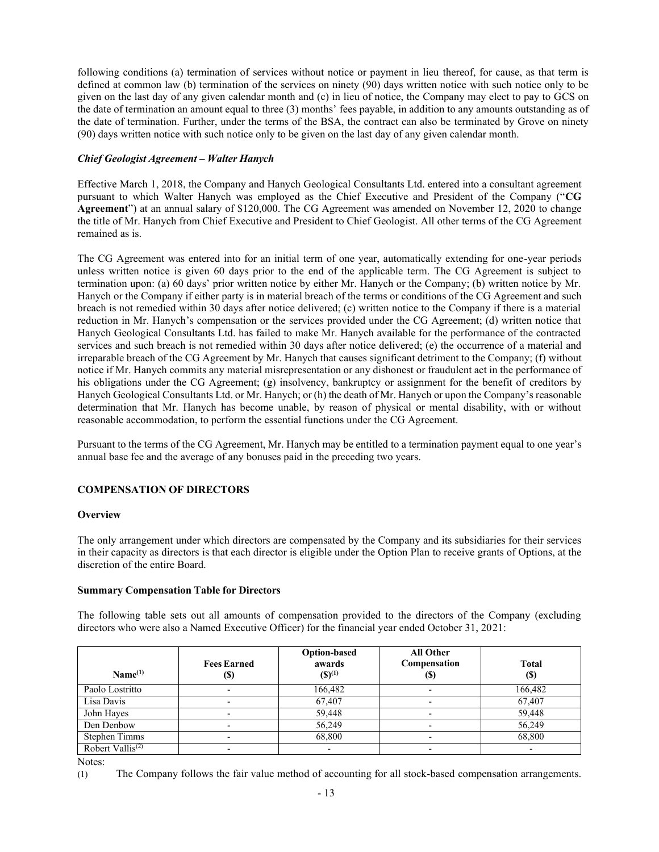following conditions (a) termination of services without notice or payment in lieu thereof, for cause, as that term is defined at common law (b) termination of the services on ninety (90) days written notice with such notice only to be given on the last day of any given calendar month and (c) in lieu of notice, the Company may elect to pay to GCS on the date of termination an amount equal to three (3) months' fees payable, in addition to any amounts outstanding as of the date of termination. Further, under the terms of the BSA, the contract can also be terminated by Grove on ninety (90) days written notice with such notice only to be given on the last day of any given calendar month.

## *Chief Geologist Agreement – Walter Hanych*

Effective March 1, 2018, the Company and Hanych Geological Consultants Ltd. entered into a consultant agreement pursuant to which Walter Hanych was employed as the Chief Executive and President of the Company ("CG Agreement") at an annual salary of \$120,000. The CG Agreement was amended on November 12, 2020 to change the title of Mr. Hanych from Chief Executive and President to Chief Geologist. All other terms of the CG Agreement remained as is.

The CG Agreement was entered into for an initial term of one year, automatically extending for one-year periods unless written notice is given 60 days prior to the end of the applicable term. The CG Agreement is subject to termination upon: (a) 60 days' prior written notice by either Mr. Hanych or the Company; (b) written notice by Mr. Hanych or the Company if either party is in material breach of the terms or conditions of the CG Agreement and such breach is not remedied within 30 days after notice delivered; (c) written notice to the Company if there is a material reduction in Mr. Hanych's compensation or the services provided under the CG Agreement; (d) written notice that Hanych Geological Consultants Ltd. has failed to make Mr. Hanych available for the performance of the contracted services and such breach is not remedied within 30 days after notice delivered; (e) the occurrence of a material and irreparable breach of the CG Agreement by Mr. Hanych that causes significant detriment to the Company; (f) without notice if Mr. Hanych commits any material misrepresentation or any dishonest or fraudulent act in the performance of his obligations under the CG Agreement; (g) insolvency, bankruptcy or assignment for the benefit of creditors by Hanych Geological Consultants Ltd. or Mr. Hanych; or (h) the death of Mr. Hanych or upon the Company's reasonable determination that Mr. Hanych has become unable, by reason of physical or mental disability, with or without reasonable accommodation, to perform the essential functions under the CG Agreement.

Pursuant to the terms of the CG Agreement, Mr. Hanych may be entitled to a termination payment equal to one year's annual base fee and the average of any bonuses paid in the preceding two years.

## **COMPENSATION OF DIRECTORS**

### **Overview**

The only arrangement under which directors are compensated by the Company and its subsidiaries for their services in their capacity as directors is that each director is eligible under the Option Plan to receive grants of Options, at the discretion of the entire Board.

### **Summary Compensation Table for Directors**

The following table sets out all amounts of compensation provided to the directors of the Company (excluding directors who were also a Named Executive Officer) for the financial year ended October 31, 2021:

| Name <sup>(1)</sup>          | <b>Fees Earned</b><br>$\left( \mathbb{S}\right)$ | <b>Option-based</b><br>awards<br>$(S)^{(1)}$ | <b>All Other</b><br>Compensation<br>(\$) | <b>Total</b><br>(\$) |
|------------------------------|--------------------------------------------------|----------------------------------------------|------------------------------------------|----------------------|
| Paolo Lostritto              |                                                  | 166,482                                      |                                          | 166,482              |
| Lisa Davis                   | -                                                | 67,407                                       |                                          | 67,407               |
| John Hayes                   |                                                  | 59,448                                       |                                          | 59,448               |
| Den Denbow                   | ٠                                                | 56,249                                       | $\overline{\phantom{0}}$                 | 56,249               |
| <b>Stephen Timms</b>         | -                                                | 68,800                                       |                                          | 68,800               |
| Robert Vallis <sup>(2)</sup> |                                                  | ٠                                            |                                          |                      |

Notes:

(1) The Company follows the fair value method of accounting for all stock-based compensation arrangements.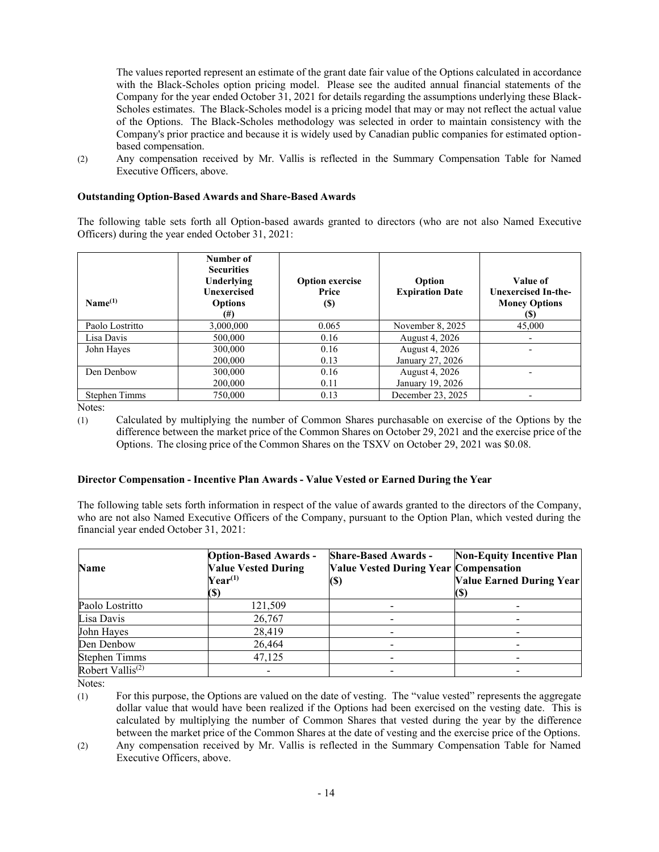The values reported represent an estimate of the grant date fair value of the Options calculated in accordance with the Black-Scholes option pricing model. Please see the audited annual financial statements of the Company for the year ended October 31, 2021 for details regarding the assumptions underlying these Black-Scholes estimates. The Black-Scholes model is a pricing model that may or may not reflect the actual value of the Options. The Black-Scholes methodology was selected in order to maintain consistency with the Company's prior practice and because it is widely used by Canadian public companies for estimated optionbased compensation.

(2) Any compensation received by Mr. Vallis is reflected in the Summary Compensation Table for Named Executive Officers, above.

### **Outstanding Option-Based Awards and Share-Based Awards**

The following table sets forth all Option-based awards granted to directors (who are not also Named Executive Officers) during the year ended October 31, 2021:

| Name <sup>(1)</sup>  | Number of<br><b>Securities</b><br>Underlying<br><b>Unexercised</b><br><b>Options</b><br>(#) | <b>Option exercise</b><br>Price<br>(S) | Option<br><b>Expiration Date</b> | Value of<br><b>Unexercised In-the-</b><br><b>Money Options</b><br>(\$ |
|----------------------|---------------------------------------------------------------------------------------------|----------------------------------------|----------------------------------|-----------------------------------------------------------------------|
| Paolo Lostritto      | 3,000,000                                                                                   | 0.065                                  | November 8, 2025                 | 45,000                                                                |
| Lisa Davis           | 500,000                                                                                     | 0.16                                   | August 4, 2026                   |                                                                       |
| John Hayes           | 300,000                                                                                     | 0.16                                   | August 4, 2026                   |                                                                       |
|                      | 200,000                                                                                     | 0.13                                   | January 27, 2026                 |                                                                       |
| Den Denbow           | 300,000                                                                                     | 0.16                                   | August 4, 2026                   |                                                                       |
|                      | 200,000                                                                                     | 0.11                                   | January 19, 2026                 |                                                                       |
| <b>Stephen Timms</b> | 750,000                                                                                     | 0.13                                   | December 23, 2025                |                                                                       |

Notes:

(1) Calculated by multiplying the number of Common Shares purchasable on exercise of the Options by the difference between the market price of the Common Shares on October 29, 2021 and the exercise price of the Options. The closing price of the Common Shares on the TSXV on October 29, 2021 was \$0.08.

## **Director Compensation - Incentive Plan Awards - Value Vested or Earned During the Year**

The following table sets forth information in respect of the value of awards granted to the directors of the Company, who are not also Named Executive Officers of the Company, pursuant to the Option Plan, which vested during the financial year ended October 31, 2021:

| <b>Name</b>                  | <b>Option-Based Awards -</b><br><b>Value Vested During</b><br>$\mathbf{Year}^{(1)}$<br>(\$) | <b>Share-Based Awards -</b><br><b>Value Vested During Year Compensation</b><br>(\$) | <b>Non-Equity Incentive Plan</b><br><b>Value Earned During Year</b><br>ŢЭ. |
|------------------------------|---------------------------------------------------------------------------------------------|-------------------------------------------------------------------------------------|----------------------------------------------------------------------------|
| Paolo Lostritto              | 121,509                                                                                     |                                                                                     |                                                                            |
| Lisa Davis                   | 26,767                                                                                      |                                                                                     |                                                                            |
| John Hayes                   | 28,419                                                                                      |                                                                                     |                                                                            |
| Den Denbow                   | 26,464                                                                                      |                                                                                     |                                                                            |
| <b>Stephen Timms</b>         | 47,125                                                                                      |                                                                                     |                                                                            |
| Robert Vallis <sup>(2)</sup> |                                                                                             |                                                                                     |                                                                            |

Notes:

(1) For this purpose, the Options are valued on the date of vesting. The "value vested" represents the aggregate dollar value that would have been realized if the Options had been exercised on the vesting date. This is calculated by multiplying the number of Common Shares that vested during the year by the difference between the market price of the Common Shares at the date of vesting and the exercise price of the Options.

(2) Any compensation received by Mr. Vallis is reflected in the Summary Compensation Table for Named Executive Officers, above.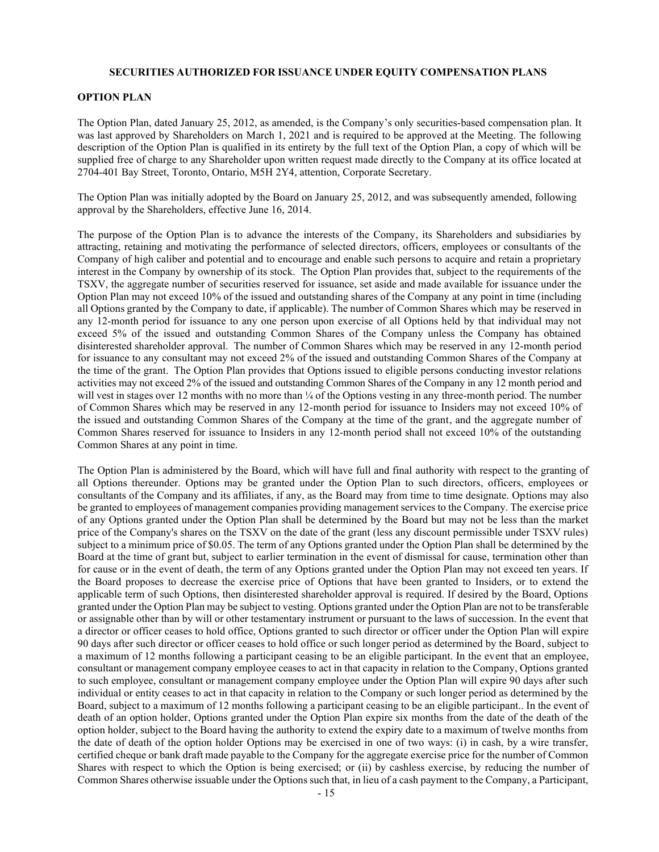#### **SECURITIES AUTHORIZED FOR ISSUANCE UNDER EQUITY COMPENSATION PLANS**

### **OPTION PLAN**

The Option Plan, dated January 25, 2012, as amended, is the Company's only securities-based compensation plan. It was last approved by Shareholders on March 1, 2021 and is required to be approved at the Meeting. The following description of the Option Plan is qualified in its entirety by the full text of the Option Plan, a copy of which will be supplied free of charge to any Shareholder upon written request made directly to the Company at its office located at 2704-401 Bay Street, Toronto, Ontario, M5H 2Y4, attention, Corporate Secretary.

The Option Plan was initially adopted by the Board on January 25, 2012, and was subsequently amended, following approval by the Shareholders, effective June 16, 2014.

The purpose of the Option Plan is to advance the interests of the Company, its Shareholders and subsidiaries by attracting, retaining and motivating the performance of selected directors, officers, employees or consultants of the Company of high caliber and potential and to encourage and enable such persons to acquire and retain a proprietary interest in the Company by ownership of its stock. The Option Plan provides that, subject to the requirements of the TSXV, the aggregate number of securities reserved for issuance, set aside and made available for issuance under the Option Plan may not exceed 10% of the issued and outstanding shares of the Company at any point in time (including all Options granted by the Company to date, if applicable). The number of Common Shares which may be reserved in any 12-month period for issuance to any one person upon exercise of all Options held by that individual may not exceed 5% of the issued and outstanding Common Shares of the Company unless the Company has obtained disinterested shareholder approval. The number of Common Shares which may be reserved in any 12-month period for issuance to any consultant may not exceed 2% of the issued and outstanding Common Shares of the Company at the time of the grant. The Option Plan provides that Options issued to eligible persons conducting investor relations activities may not exceed 2% of the issued and outstanding Common Shares of the Company in any 12 month period and will vest in stages over 12 months with no more than  $\frac{1}{4}$  of the Options vesting in any three-month period. The number of Common Shares which may be reserved in any 12-month period for issuance to Insiders may not exceed 10% of the issued and outstanding Common Shares of the Company at the time of the grant, and the aggregate number of Common Shares reserved for issuance to Insiders in any 12-month period shall not exceed 10% of the outstanding Common Shares at any point in time.

The Option Plan is administered by the Board, which will have full and final authority with respect to the granting of all Options thereunder. Options may be granted under the Option Plan to such directors, officers, employees or consultants of the Company and its affiliates, if any, as the Board may from time to time designate. Options may also be granted to employees of management companies providing management services to the Company. The exercise price of any Options granted under the Option Plan shall be determined by the Board but may not be less than the market price of the Company's shares on the TSXV on the date of the grant (less any discount permissible under TSXV rules) subject to a minimum price of \$0.05. The term of any Options granted under the Option Plan shall be determined by the Board at the time of grant but, subject to earlier termination in the event of dismissal for cause, termination other than for cause or in the event of death, the term of any Options granted under the Option Plan may not exceed ten years. If the Board proposes to decrease the exercise price of Options that have been granted to Insiders, or to extend the applicable term of such Options, then disinterested shareholder approval is required. If desired by the Board, Options granted under the Option Plan may be subject to vesting. Options granted under the Option Plan are not to be transferable or assignable other than by will or other testamentary instrument or pursuant to the laws of succession. In the event that a director or officer ceases to hold office, Options granted to such director or officer under the Option Plan will expire 90 days after such director or officer ceases to hold office or such longer period as determined by the Board, subject to a maximum of 12 months following a participant ceasing to be an eligible participant. In the event that an employee, consultant or management company employee ceases to act in that capacity in relation to the Company, Options granted to such employee, consultant or management company employee under the Option Plan will expire 90 days after such individual or entity ceases to act in that capacity in relation to the Company or such longer period as determined by the Board, subject to a maximum of 12 months following a participant ceasing to be an eligible participant.. In the event of death of an option holder, Options granted under the Option Plan expire six months from the date of the death of the option holder, subject to the Board having the authority to extend the expiry date to a maximum of twelve months from the date of death of the option holder Options may be exercised in one of two ways: (i) in cash, by a wire transfer, certified cheque or bank draft made payable to the Company for the aggregate exercise price for the number of Common Shares with respect to which the Option is being exercised; or (ii) by cashless exercise, by reducing the number of Common Shares otherwise issuable under the Options such that, in lieu of a cash payment to the Company, a Participant,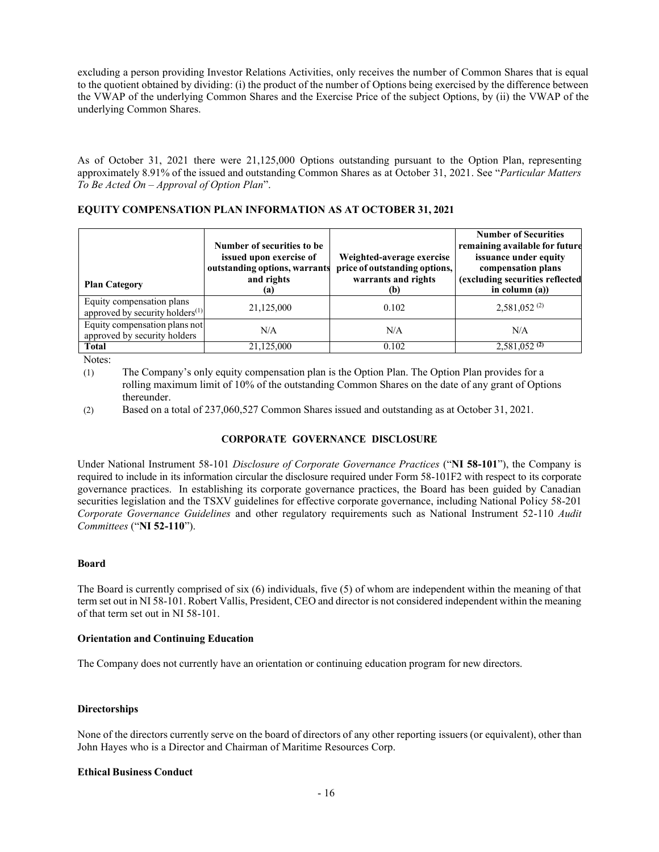excluding a person providing Investor Relations Activities, only receives the number of Common Shares that is equal to the quotient obtained by dividing: (i) the product of the number of Options being exercised by the difference between the VWAP of the underlying Common Shares and the Exercise Price of the subject Options, by (ii) the VWAP of the underlying Common Shares.

As of October 31, 2021 there were 21,125,000 Options outstanding pursuant to the Option Plan, representing approximately 8.91% of the issued and outstanding Common Shares as at October 31, 2021. See "*Particular Matters To Be Acted On ± Approval of Option Plan*´.

## **EQUITY COMPENSATION PLAN INFORMATION AS AT OCTOBER 31, 2021**

| <b>Plan Category</b>                                                     | Number of securities to be<br>issued upon exercise of<br>outstanding options, warrants<br>and rights<br>(a) | Weighted-average exercise<br>price of outstanding options,<br>warrants and rights<br>(b) | <b>Number of Securities</b><br>remaining available for future<br>issuance under equity<br>compensation plans<br>(excluding securities reflected<br>in column $(a)$ ) |
|--------------------------------------------------------------------------|-------------------------------------------------------------------------------------------------------------|------------------------------------------------------------------------------------------|----------------------------------------------------------------------------------------------------------------------------------------------------------------------|
| Equity compensation plans<br>approved by security holders <sup>(1)</sup> | 21,125,000                                                                                                  | 0.102                                                                                    | $2,581,052^{(2)}$                                                                                                                                                    |
| Equity compensation plans not<br>approved by security holders            | N/A                                                                                                         | N/A                                                                                      | N/A                                                                                                                                                                  |
| <b>Total</b>                                                             | 21,125,000                                                                                                  | 0.102                                                                                    | $2,581,052$ <sup>(2)</sup>                                                                                                                                           |

Notes:

(1) The Company's only equity compensation plan is the Option Plan. The Option Plan provides for a rolling maximum limit of 10% of the outstanding Common Shares on the date of any grant of Options thereunder.

(2) Based on a total of 237,060,527 Common Shares issued and outstanding as at October 31, 2021.

## **CORPORATE GOVERNANCE DISCLOSURE**

Under National Instrument 58-101 *Disclosure of Corporate Governance Practices* ("NI 58-101"), the Company is required to include in its information circular the disclosure required under Form 58-101F2 with respect to its corporate governance practices. In establishing its corporate governance practices, the Board has been guided by Canadian securities legislation and the TSXV guidelines for effective corporate governance, including National Policy 58-201 *Corporate Governance Guidelines* and other regulatory requirements such as National Instrument 52-110 *Audit Committees* ("NI 52-110").

## **Board**

The Board is currently comprised of six (6) individuals, five (5) of whom are independent within the meaning of that term set out in NI 58-101. Robert Vallis, President, CEO and director is not considered independent within the meaning of that term set out in NI 58-101.

## **Orientation and Continuing Education**

The Company does not currently have an orientation or continuing education program for new directors.

## **Directorships**

None of the directors currently serve on the board of directors of any other reporting issuers (or equivalent), other than John Hayes who is a Director and Chairman of Maritime Resources Corp.

## **Ethical Business Conduct**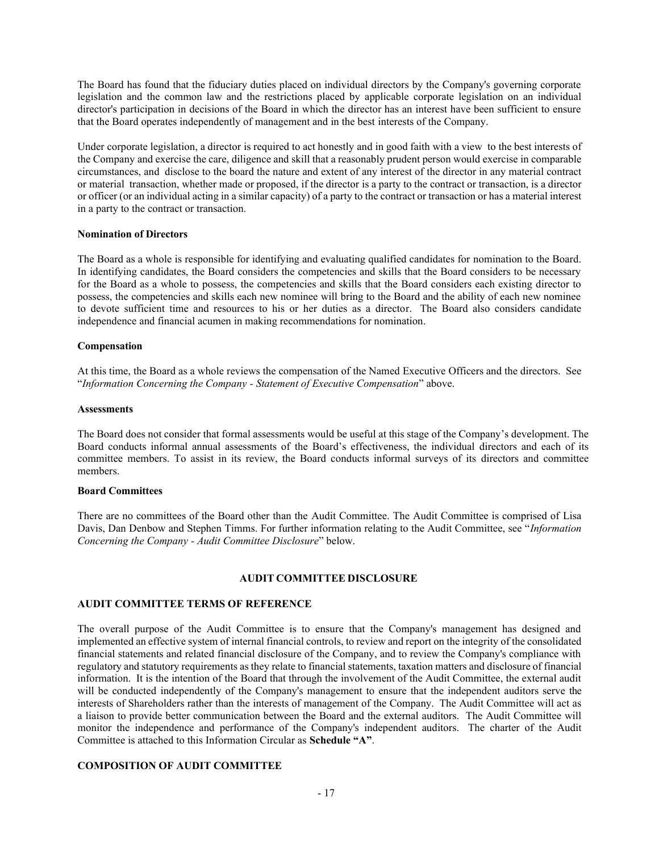The Board has found that the fiduciary duties placed on individual directors by the Company's governing corporate legislation and the common law and the restrictions placed by applicable corporate legislation on an individual director's participation in decisions of the Board in which the director has an interest have been sufficient to ensure that the Board operates independently of management and in the best interests of the Company.

Under corporate legislation, a director is required to act honestly and in good faith with a view to the best interests of the Company and exercise the care, diligence and skill that a reasonably prudent person would exercise in comparable circumstances, and disclose to the board the nature and extent of any interest of the director in any material contract or material transaction, whether made or proposed, if the director is a party to the contract or transaction, is a director or officer (or an individual acting in a similar capacity) of a party to the contract or transaction or has a material interest in a party to the contract or transaction.

### **Nomination of Directors**

The Board as a whole is responsible for identifying and evaluating qualified candidates for nomination to the Board. In identifying candidates, the Board considers the competencies and skills that the Board considers to be necessary for the Board as a whole to possess, the competencies and skills that the Board considers each existing director to possess, the competencies and skills each new nominee will bring to the Board and the ability of each new nominee to devote sufficient time and resources to his or her duties as a director. The Board also considers candidate independence and financial acumen in making recommendations for nomination.

### **Compensation**

At this time, the Board as a whole reviews the compensation of the Named Executive Officers and the directors. See *<sup>4</sup>Information Concerning the Company - Statement of Executive Compensation*<sup>"</sup> above.

### **Assessments**

The Board does not consider that formal assessments would be useful at this stage of the Company's development. The Board conducts informal annual assessments of the Board's effectiveness, the individual directors and each of its committee members. To assist in its review, the Board conducts informal surveys of its directors and committee members.

### **Board Committees**

There are no committees of the Board other than the Audit Committee. The Audit Committee is comprised of Lisa Davis, Dan Denbow and Stephen Timms. For further information relating to the Audit Committee, see "*Information Concerning the Company - Audit Committee Disclosure*" below.

### **AUDIT COMMITTEE DISCLOSURE**

# **AUDIT COMMITTEE TERMS OF REFERENCE**

The overall purpose of the Audit Committee is to ensure that the Company's management has designed and implemented an effective system of internal financial controls, to review and report on the integrity of the consolidated financial statements and related financial disclosure of the Company, and to review the Company's compliance with regulatory and statutory requirements as they relate to financial statements, taxation matters and disclosure of financial information. It is the intention of the Board that through the involvement of the Audit Committee, the external audit will be conducted independently of the Company's management to ensure that the independent auditors serve the interests of Shareholders rather than the interests of management of the Company. The Audit Committee will act as a liaison to provide better communication between the Board and the external auditors. The Audit Committee will monitor the independence and performance of the Company's independent auditors. The charter of the Audit Committee is attached to this Information Circular as **Schedule** "A".

## **COMPOSITION OF AUDIT COMMITTEE**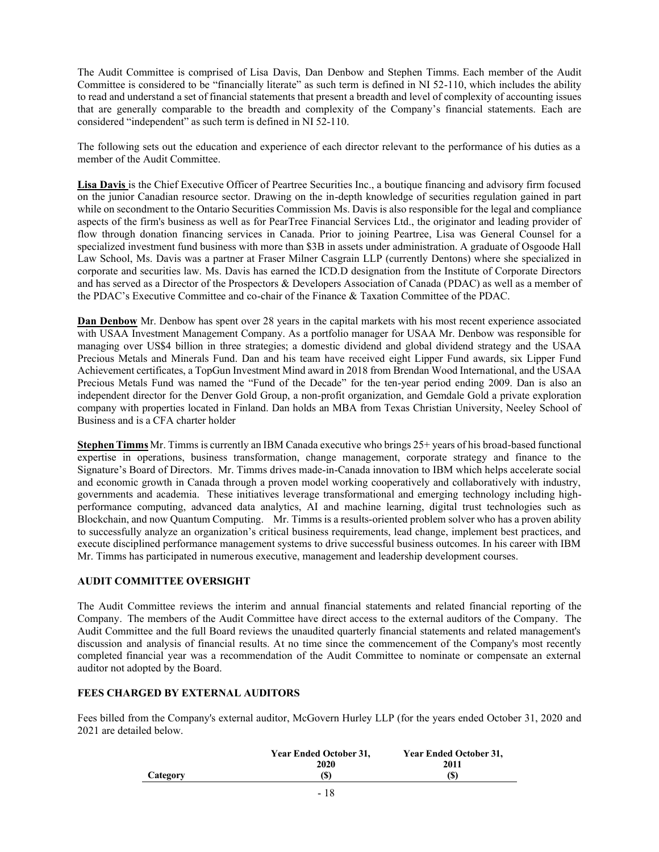The Audit Committee is comprised of Lisa Davis, Dan Denbow and Stephen Timms. Each member of the Audit Committee is considered to be "financially literate" as such term is defined in NI 52-110, which includes the ability to read and understand a set of financial statements that present a breadth and level of complexity of accounting issues that are generally comparable to the breadth and complexity of the Company's financial statements. Each are considered "independent" as such term is defined in NI 52-110.

The following sets out the education and experience of each director relevant to the performance of his duties as a member of the Audit Committee.

**Lisa Davis** is the Chief Executive Officer of Peartree Securities Inc., a boutique financing and advisory firm focused on the junior Canadian resource sector. Drawing on the in-depth knowledge of securities regulation gained in part while on secondment to the Ontario Securities Commission Ms. Davis is also responsible for the legal and compliance aspects of the firm's business as well as for PearTree Financial Services Ltd., the originator and leading provider of flow through donation financing services in Canada. Prior to joining Peartree, Lisa was General Counsel for a specialized investment fund business with more than \$3B in assets under administration. A graduate of Osgoode Hall Law School, Ms. Davis was a partner at Fraser Milner Casgrain LLP (currently Dentons) where she specialized in corporate and securities law. Ms. Davis has earned the ICD.D designation from the Institute of Corporate Directors and has served as a Director of the Prospectors & Developers Association of Canada (PDAC) as well as a member of the PDAC's Executive Committee and co-chair of the Finance & Taxation Committee of the PDAC.

**Dan Denbow** Mr. Denbow has spent over 28 years in the capital markets with his most recent experience associated with USAA Investment Management Company. As a portfolio manager for USAA Mr. Denbow was responsible for managing over US\$4 billion in three strategies; a domestic dividend and global dividend strategy and the USAA Precious Metals and Minerals Fund. Dan and his team have received eight Lipper Fund awards, six Lipper Fund Achievement certificates, a TopGun Investment Mind award in 2018 from Brendan Wood International, and the USAA Precious Metals Fund was named the "Fund of the Decade" for the ten-year period ending 2009. Dan is also an independent director for the Denver Gold Group, a non-profit organization, and Gemdale Gold a private exploration company with properties located in Finland. Dan holds an MBA from Texas Christian University, Neeley School of Business and is a CFA charter holder

**Stephen Timms** Mr. Timms is currently an IBM Canada executive who brings 25+ years of his broad-based functional expertise in operations, business transformation, change management, corporate strategy and finance to the Signature's Board of Directors. Mr. Timms drives made-in-Canada innovation to IBM which helps accelerate social and economic growth in Canada through a proven model working cooperatively and collaboratively with industry, governments and academia. These initiatives leverage transformational and emerging technology including highperformance computing, advanced data analytics, AI and machine learning, digital trust technologies such as Blockchain, and now Quantum Computing. Mr. Timms is a results-oriented problem solver who has a proven ability to successfully analyze an organization's critical business requirements, lead change, implement best practices, and execute disciplined performance management systems to drive successful business outcomes. In his career with IBM Mr. Timms has participated in numerous executive, management and leadership development courses.

## **AUDIT COMMITTEE OVERSIGHT**

The Audit Committee reviews the interim and annual financial statements and related financial reporting of the Company. The members of the Audit Committee have direct access to the external auditors of the Company. The Audit Committee and the full Board reviews the unaudited quarterly financial statements and related management's discussion and analysis of financial results. At no time since the commencement of the Company's most recently completed financial year was a recommendation of the Audit Committee to nominate or compensate an external auditor not adopted by the Board.

## **FEES CHARGED BY EXTERNAL AUDITORS**

Fees billed from the Company's external auditor, McGovern Hurley LLP (for the years ended October 31, 2020 and 2021 are detailed below.

|          | <b>Year Ended October 31,</b> | Year Ended October 31, |
|----------|-------------------------------|------------------------|
|          | 2020                          | 2011                   |
| Category | (S)                           | (S)                    |
|          | $\sim$                        |                        |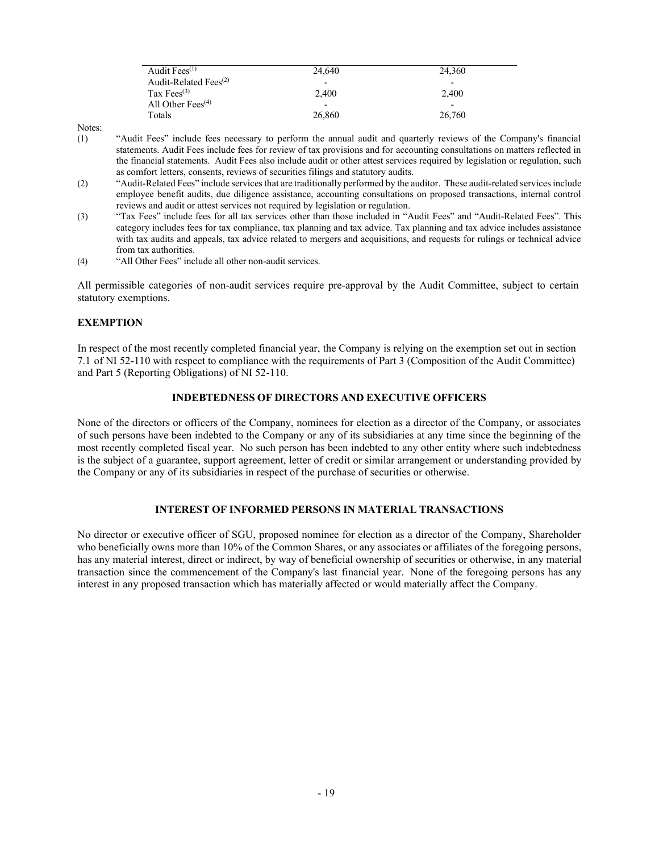| Audit Fees $(1)$                               | 24.640                   | 24.360 |
|------------------------------------------------|--------------------------|--------|
| Audit-Related Fees <sup><math>(2)</math></sup> | $\overline{\phantom{a}}$ | -      |
| Tax Fees <sup>(3)</sup>                        | 2.400                    | 2.400  |
| All Other Fees <sup><math>(4)</math></sup>     | $\overline{\phantom{0}}$ | -      |
| Totals                                         | 26,860                   | 26,760 |

Notes:

- (1) "Audit Fees" include fees necessary to perform the annual audit and quarterly reviews of the Company's financial statements. Audit Fees include fees for review of tax provisions and for accounting consultations on matters reflected in the financial statements. Audit Fees also include audit or other attest services required by legislation or regulation, such as comfort letters, consents, reviews of securities filings and statutory audits.
- <sup>(2)</sup> <sup>4</sup>Audit-Related Fees" include services that are traditionally performed by the auditor. These audit-related services include employee benefit audits, due diligence assistance, accounting consultations on proposed transactions, internal control reviews and audit or attest services not required by legislation or regulation.
- (3) "Tax Fees" include fees for all tax services other than those included in "Audit Fees" and "Audit-Related Fees". This category includes fees for tax compliance, tax planning and tax advice. Tax planning and tax advice includes assistance with tax audits and appeals, tax advice related to mergers and acquisitions, and requests for rulings or technical advice from tax authorities.
- (4) <sup>4</sup>All Other Fees<sup>"</sup> include all other non-audit services.

All permissible categories of non-audit services require pre-approval by the Audit Committee, subject to certain statutory exemptions.

## **EXEMPTION**

In respect of the most recently completed financial year, the Company is relying on the exemption set out in section 7.1 of NI 52-110 with respect to compliance with the requirements of Part 3 (Composition of the Audit Committee) and Part 5 (Reporting Obligations) of NI 52-110.

### **INDEBTEDNESS OF DIRECTORS AND EXECUTIVE OFFICERS**

None of the directors or officers of the Company, nominees for election as a director of the Company, or associates of such persons have been indebted to the Company or any of its subsidiaries at any time since the beginning of the most recently completed fiscal year. No such person has been indebted to any other entity where such indebtedness is the subject of a guarantee, support agreement, letter of credit or similar arrangement or understanding provided by the Company or any of its subsidiaries in respect of the purchase of securities or otherwise.

## **INTEREST OF INFORMED PERSONS IN MATERIAL TRANSACTIONS**

No director or executive officer of SGU, proposed nominee for election as a director of the Company, Shareholder who beneficially owns more than 10% of the Common Shares, or any associates or affiliates of the foregoing persons, has any material interest, direct or indirect, by way of beneficial ownership of securities or otherwise, in any material transaction since the commencement of the Company's last financial year. None of the foregoing persons has any interest in any proposed transaction which has materially affected or would materially affect the Company.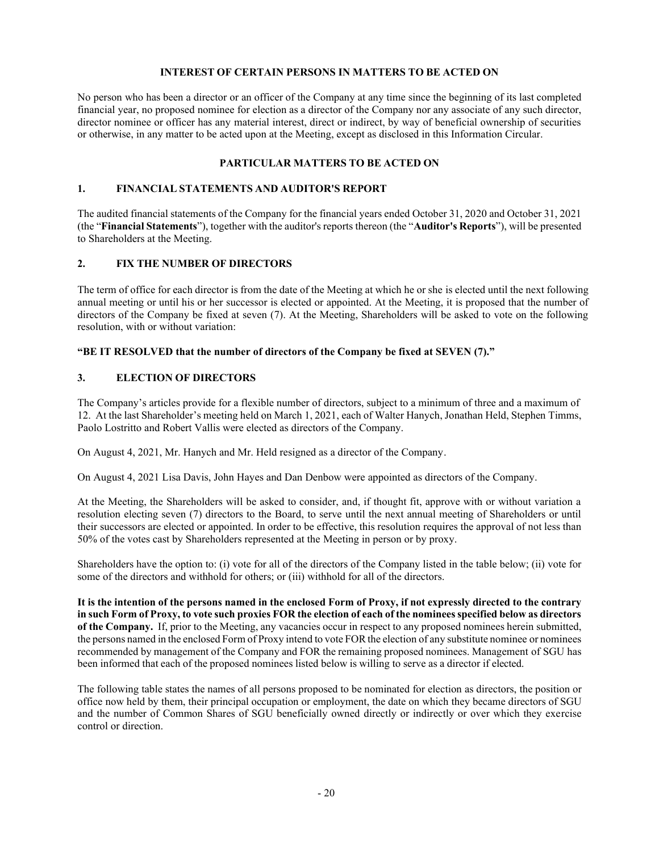## **INTEREST OF CERTAIN PERSONS IN MATTERS TO BE ACTED ON**

No person who has been a director or an officer of the Company at any time since the beginning of its last completed financial year, no proposed nominee for election as a director of the Company nor any associate of any such director, director nominee or officer has any material interest, direct or indirect, by way of beneficial ownership of securities or otherwise, in any matter to be acted upon at the Meeting, except as disclosed in this Information Circular.

### **PARTICULAR MATTERS TO BE ACTED ON**

### **1. FINANCIAL STATEMENTS AND AUDITOR'S REPORT**

The audited financial statements of the Company for the financial years ended October 31, 2020 and October 31, 2021 (the "Financial Statements"), together with the auditor's reports thereon (the "Auditor's Reports"), will be presented to Shareholders at the Meeting.

### **2. FIX THE NUMBER OF DIRECTORS**

The term of office for each director is from the date of the Meeting at which he or she is elected until the next following annual meeting or until his or her successor is elected or appointed. At the Meeting, it is proposed that the number of directors of the Company be fixed at seven (7). At the Meeting, Shareholders will be asked to vote on the following resolution, with or without variation:

### **EXECUTE: 4BE IT RESOLVED that the number of directors of the Company be fixed at SEVEN (7).**

### **3. ELECTION OF DIRECTORS**

The Company's articles provide for a flexible number of directors, subject to a minimum of three and a maximum of 12. At the last Shareholder's meeting held on March 1, 2021, each of Walter Hanych, Jonathan Held, Stephen Timms, Paolo Lostritto and Robert Vallis were elected as directors of the Company.

On August 4, 2021, Mr. Hanych and Mr. Held resigned as a director of the Company.

On August 4, 2021 Lisa Davis, John Hayes and Dan Denbow were appointed as directors of the Company.

At the Meeting, the Shareholders will be asked to consider, and, if thought fit, approve with or without variation a resolution electing seven (7) directors to the Board, to serve until the next annual meeting of Shareholders or until their successors are elected or appointed. In order to be effective, this resolution requires the approval of not less than 50% of the votes cast by Shareholders represented at the Meeting in person or by proxy.

Shareholders have the option to: (i) vote for all of the directors of the Company listed in the table below; (ii) vote for some of the directors and withhold for others; or (iii) withhold for all of the directors.

It is the intention of the persons named in the enclosed Form of Proxy, if not expressly directed to the contrary **in such Form of Proxy, to vote such proxies FOR the election of each of the nominees specified below as directors of the Company.** If, prior to the Meeting, any vacancies occur in respect to any proposed nominees herein submitted, the persons named in the enclosed Form of Proxy intend to vote FOR the election of any substitute nominee or nominees recommended by management of the Company and FOR the remaining proposed nominees. Management of SGU has been informed that each of the proposed nominees listed below is willing to serve as a director if elected.

The following table states the names of all persons proposed to be nominated for election as directors, the position or office now held by them, their principal occupation or employment, the date on which they became directors of SGU and the number of Common Shares of SGU beneficially owned directly or indirectly or over which they exercise control or direction.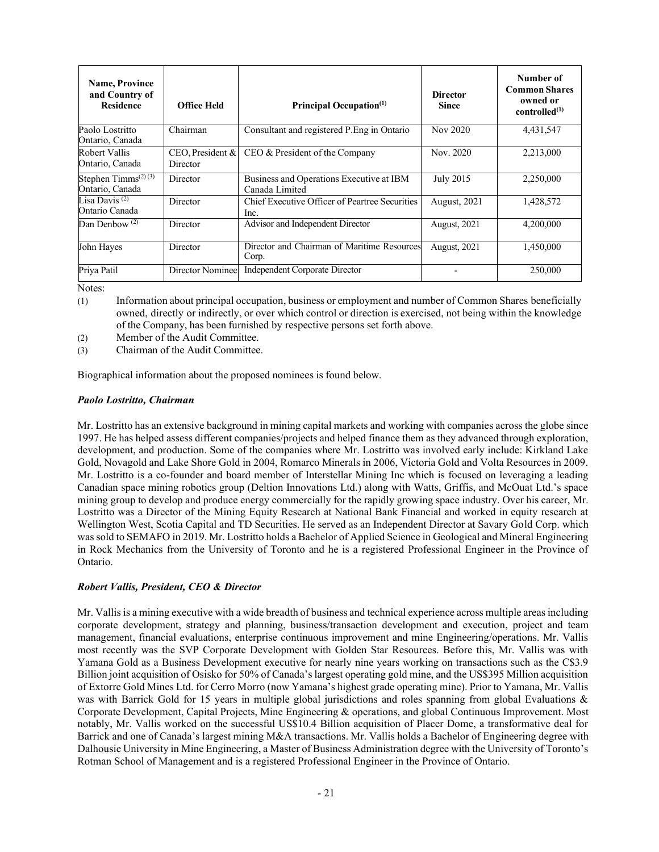| <b>Name, Province</b><br>and Country of<br><b>Residence</b> | <b>Office Held</b>              | Principal Occupation <sup>(1)</sup>                        | <b>Director</b><br><b>Since</b> | Number of<br><b>Common Shares</b><br>owned or<br>controlled <sup>(1)</sup> |
|-------------------------------------------------------------|---------------------------------|------------------------------------------------------------|---------------------------------|----------------------------------------------------------------------------|
| Paolo Lostritto<br>Ontario, Canada                          | Chairman                        | Consultant and registered P. Eng in Ontario                | Nov 2020                        | 4,431,547                                                                  |
| Robert Vallis<br>Ontario, Canada                            | $CEO$ , President &<br>Director | CEO & President of the Company                             | Nov. 2020                       | 2,213,000                                                                  |
| Stephen Timms $(2)(3)$<br>Ontario, Canada                   | Director                        | Business and Operations Executive at IBM<br>Canada Limited | <b>July 2015</b>                | 2,250,000                                                                  |
| Lisa Davis <sup>(2)</sup><br>Ontario Canada                 | Director                        | Chief Executive Officer of Peartree Securities<br>Inc.     | <b>August, 2021</b>             | 1,428,572                                                                  |
| Dan Denbow $(2)$                                            | Director                        | Advisor and Independent Director                           | <b>August, 2021</b>             | 4,200,000                                                                  |
| John Hayes                                                  | Director                        | Director and Chairman of Maritime Resources<br>Corp.       | <b>August, 2021</b>             | 1,450,000                                                                  |
| Priva Patil                                                 | Director Nominee                | Independent Corporate Director                             |                                 | 250,000                                                                    |

Notes:

- (1) Information about principal occupation, business or employment and number of Common Shares beneficially owned, directly or indirectly, or over which control or direction is exercised, not being within the knowledge of the Company, has been furnished by respective persons set forth above.
- (2) Member of the Audit Committee.
- (3) Chairman of the Audit Committee.

Biographical information about the proposed nominees is found below.

### *Paolo Lostritto, Chairman*

Mr. Lostritto has an extensive background in mining capital markets and working with companies across the globe since 1997. He has helped assess different companies/projects and helped finance them as they advanced through exploration, development, and production. Some of the companies where Mr. Lostritto was involved early include: Kirkland Lake Gold, Novagold and Lake Shore Gold in 2004, Romarco Minerals in 2006, Victoria Gold and Volta Resources in 2009. Mr. Lostritto is a co-founder and board member of Interstellar Mining Inc which is focused on leveraging a leading Canadian space mining robotics group (Deltion Innovations Ltd.) along with Watts, Griffis, and McOuat Ltd.'s space mining group to develop and produce energy commercially for the rapidly growing space industry. Over his career, Mr. Lostritto was a Director of the Mining Equity Research at National Bank Financial and worked in equity research at Wellington West, Scotia Capital and TD Securities. He served as an Independent Director at Savary Gold Corp. which was sold to SEMAFO in 2019. Mr. Lostritto holds a Bachelor of Applied Science in Geological and Mineral Engineering in Rock Mechanics from the University of Toronto and he is a registered Professional Engineer in the Province of Ontario.

### *Robert Vallis, President, CEO & Director*

Mr. Vallis is a mining executive with a wide breadth of business and technical experience across multiple areas including corporate development, strategy and planning, business/transaction development and execution, project and team management, financial evaluations, enterprise continuous improvement and mine Engineering/operations. Mr. Vallis most recently was the SVP Corporate Development with Golden Star Resources. Before this, Mr. Vallis was with Yamana Gold as a Business Development executive for nearly nine years working on transactions such as the C\$3.9 Billion joint acquisition of Osisko for 50% of Canada's largest operating gold mine, and the US\$395 Million acquisition of Extorre Gold Mines Ltd. for Cerro Morro (now Yamana's highest grade operating mine). Prior to Yamana, Mr. Vallis was with Barrick Gold for 15 years in multiple global jurisdictions and roles spanning from global Evaluations & Corporate Development, Capital Projects, Mine Engineering & operations, and global Continuous Improvement. Most notably, Mr. Vallis worked on the successful US\$10.4 Billion acquisition of Placer Dome, a transformative deal for Barrick and one of Canada's largest mining M&A transactions. Mr. Vallis holds a Bachelor of Engineering degree with Dalhousie University in Mine Engineering, a Master of Business Administration degree with the University of Toronto's Rotman School of Management and is a registered Professional Engineer in the Province of Ontario.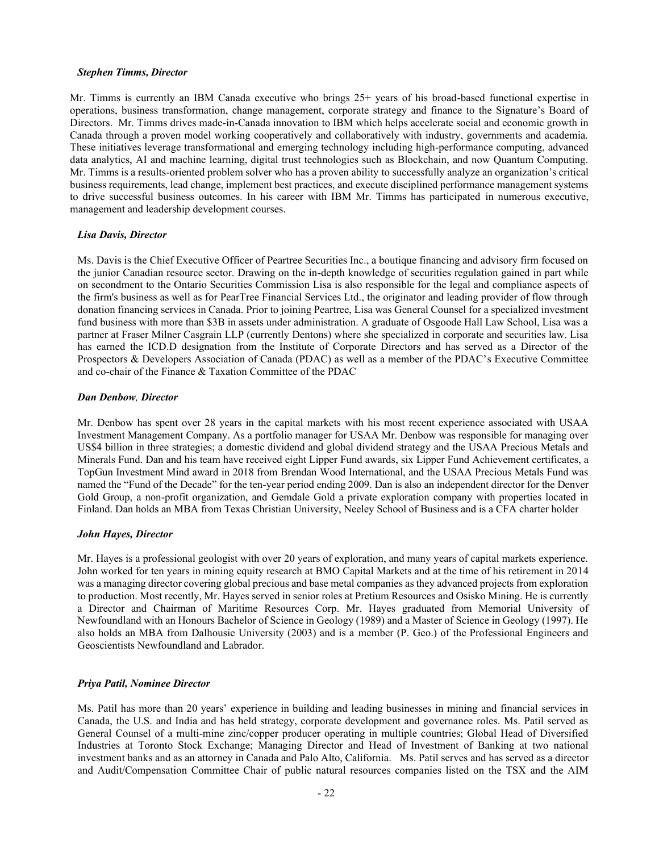#### *Stephen Timms, Director*

Mr. Timms is currently an IBM Canada executive who brings 25+ years of his broad-based functional expertise in operations, business transformation, change management, corporate strategy and finance to the Signature's Board of Directors. Mr. Timms drives made-in-Canada innovation to IBM which helps accelerate social and economic growth in Canada through a proven model working cooperatively and collaboratively with industry, governments and academia. These initiatives leverage transformational and emerging technology including high-performance computing, advanced data analytics, AI and machine learning, digital trust technologies such as Blockchain, and now Quantum Computing. Mr. Timms is a results-oriented problem solver who has a proven ability to successfully analyze an organization's critical business requirements, lead change, implement best practices, and execute disciplined performance management systems to drive successful business outcomes. In his career with IBM Mr. Timms has participated in numerous executive, management and leadership development courses.

### *Lisa Davis, Director*

Ms. Davis is the Chief Executive Officer of Peartree Securities Inc., a boutique financing and advisory firm focused on the junior Canadian resource sector. Drawing on the in-depth knowledge of securities regulation gained in part while on secondment to the Ontario Securities Commission Lisa is also responsible for the legal and compliance aspects of the firm's business as well as for PearTree Financial Services Ltd., the originator and leading provider of flow through donation financing services in Canada. Prior to joining Peartree, Lisa was General Counsel for a specialized investment fund business with more than \$3B in assets under administration. A graduate of Osgoode Hall Law School, Lisa was a partner at Fraser Milner Casgrain LLP (currently Dentons) where she specialized in corporate and securities law. Lisa has earned the ICD.D designation from the Institute of Corporate Directors and has served as a Director of the Prospectors & Developers Association of Canada (PDAC) as well as a member of the PDAC's Executive Committee and co-chair of the Finance & Taxation Committee of the PDAC

#### *Dan Denbow, Director*

Mr. Denbow has spent over 28 years in the capital markets with his most recent experience associated with USAA Investment Management Company. As a portfolio manager for USAA Mr. Denbow was responsible for managing over US\$4 billion in three strategies; a domestic dividend and global dividend strategy and the USAA Precious Metals and Minerals Fund. Dan and his team have received eight Lipper Fund awards, six Lipper Fund Achievement certificates, a TopGun Investment Mind award in 2018 from Brendan Wood International, and the USAA Precious Metals Fund was named the "Fund of the Decade" for the ten-year period ending 2009. Dan is also an independent director for the Denver Gold Group, a non-profit organization, and Gemdale Gold a private exploration company with properties located in Finland. Dan holds an MBA from Texas Christian University, Neeley School of Business and is a CFA charter holder

### *John Hayes, Director*

Mr. Hayes is a professional geologist with over 20 years of exploration, and many years of capital markets experience. John worked for ten years in mining equity research at BMO Capital Markets and at the time of his retirement in 2014 was a managing director covering global precious and base metal companies as they advanced projects from exploration to production. Most recently, Mr. Hayes served in senior roles at Pretium Resources and Osisko Mining. He is currently a Director and Chairman of Maritime Resources Corp. Mr. Hayes graduated from Memorial University of Newfoundland with an Honours Bachelor of Science in Geology (1989) and a Master of Science in Geology (1997). He also holds an MBA from Dalhousie University (2003) and is a member (P. Geo.) of the Professional Engineers and Geoscientists Newfoundland and Labrador.

### *Priya Patil, Nominee Director*

Ms. Patil has more than 20 years' experience in building and leading businesses in mining and financial services in Canada, the U.S. and India and has held strategy, corporate development and governance roles. Ms. Patil served as General Counsel of a multi-mine zinc/copper producer operating in multiple countries; Global Head of Diversified Industries at Toronto Stock Exchange; Managing Director and Head of Investment of Banking at two national investment banks and as an attorney in Canada and Palo Alto, California. Ms. Patil serves and has served as a director and Audit/Compensation Committee Chair of public natural resources companies listed on the TSX and the AIM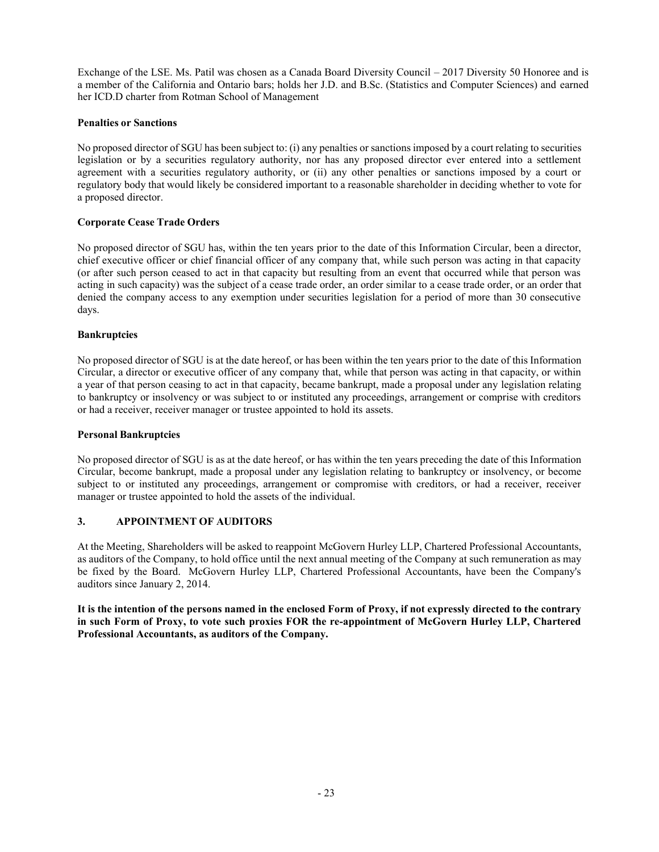Exchange of the LSE. Ms. Patil was chosen as a Canada Board Diversity Council  $-2017$  Diversity 50 Honoree and is a member of the California and Ontario bars; holds her J.D. and B.Sc. (Statistics and Computer Sciences) and earned her ICD.D charter from Rotman School of Management

## **Penalties or Sanctions**

No proposed director of SGU has been subject to: (i) any penalties or sanctionsimposed by a court relating to securities legislation or by a securities regulatory authority, nor has any proposed director ever entered into a settlement agreement with a securities regulatory authority, or (ii) any other penalties or sanctions imposed by a court or regulatory body that would likely be considered important to a reasonable shareholder in deciding whether to vote for a proposed director.

# **Corporate Cease Trade Orders**

No proposed director of SGU has, within the ten years prior to the date of this Information Circular, been a director, chief executive officer or chief financial officer of any company that, while such person was acting in that capacity (or after such person ceased to act in that capacity but resulting from an event that occurred while that person was acting in such capacity) was the subject of a cease trade order, an order similar to a cease trade order, or an order that denied the company access to any exemption under securities legislation for a period of more than 30 consecutive days.

## **Bankruptcies**

No proposed director of SGU is at the date hereof, or has been within the ten years prior to the date of this Information Circular, a director or executive officer of any company that, while that person was acting in that capacity, or within a year of that person ceasing to act in that capacity, became bankrupt, made a proposal under any legislation relating to bankruptcy or insolvency or was subject to or instituted any proceedings, arrangement or comprise with creditors or had a receiver, receiver manager or trustee appointed to hold its assets.

## **Personal Bankruptcies**

No proposed director of SGU is as at the date hereof, or has within the ten years preceding the date of this Information Circular, become bankrupt, made a proposal under any legislation relating to bankruptcy or insolvency, or become subject to or instituted any proceedings, arrangement or compromise with creditors, or had a receiver, receiver manager or trustee appointed to hold the assets of the individual.

# **3. APPOINTMENT OF AUDITORS**

At the Meeting, Shareholders will be asked to reappoint McGovern Hurley LLP, Chartered Professional Accountants, as auditors of the Company, to hold office until the next annual meeting of the Company at such remuneration as may be fixed by the Board. McGovern Hurley LLP, Chartered Professional Accountants, have been the Company's auditors since January 2, 2014.

It is the intention of the persons named in the enclosed Form of Proxy, if not expressly directed to the contrary **in such Form of Proxy, to vote such proxies FOR the re-appointment of McGovern Hurley LLP, Chartered Professional Accountants, as auditors of the Company.**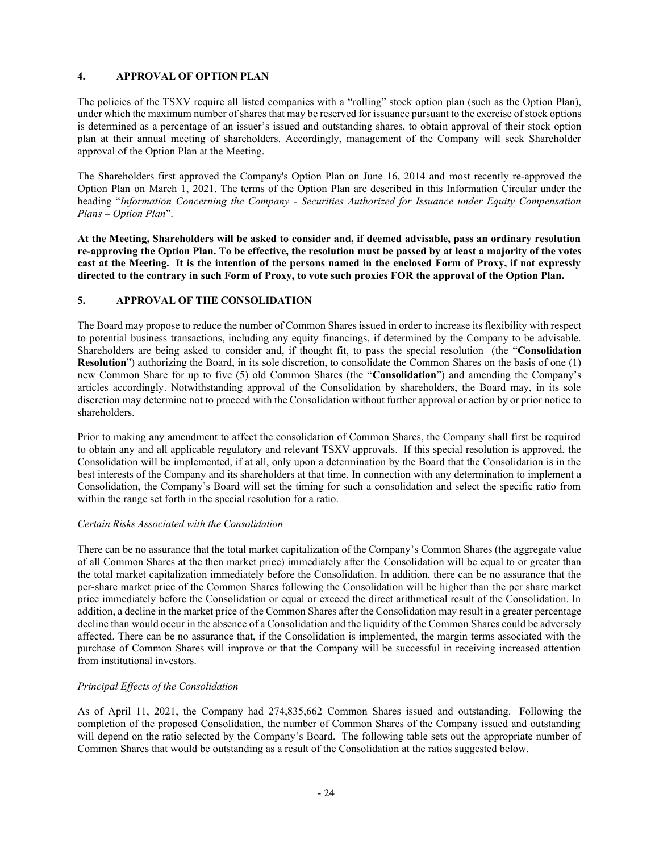## **4. APPROVAL OF OPTION PLAN**

The policies of the TSXV require all listed companies with a "rolling" stock option plan (such as the Option Plan), under which the maximum number of shares that may be reserved for issuance pursuant to the exercise of stock options is determined as a percentage of an issuer's issued and outstanding shares, to obtain approval of their stock option plan at their annual meeting of shareholders. Accordingly, management of the Company will seek Shareholder approval of the Option Plan at the Meeting.

The Shareholders first approved the Company's Option Plan on June 16, 2014 and most recently re-approved the Option Plan on March 1, 2021. The terms of the Option Plan are described in this Information Circular under the heading ³*Information Concerning the Company - Securities Authorized for Issuance under Equity Compensation Plans ± Option Plan*´.

**At the Meeting, Shareholders will be asked to consider and, if deemed advisable, pass an ordinary resolution**  re-approving the Option Plan. To be effective, the resolution must be passed by at least a majority of the votes **cast at the Meeting. It is the intention of the persons named in the enclosed Form of Proxy, if not expressly directed to the contrary in such Form of Proxy, to vote such proxies FOR the approval of the Option Plan.**

## **5. APPROVAL OF THE CONSOLIDATION**

The Board may propose to reduce the number of Common Shares issued in order to increase its flexibility with respect to potential business transactions, including any equity financings, if determined by the Company to be advisable. Shareholders are being asked to consider and, if thought fit, to pass the special resolution (the "**Consolidation Resolution**") authorizing the Board, in its sole discretion, to consolidate the Common Shares on the basis of one (1) new Common Share for up to five (5) old Common Shares (the "Consolidation") and amending the Company's articles accordingly. Notwithstanding approval of the Consolidation by shareholders, the Board may, in its sole discretion may determine not to proceed with the Consolidation without further approval or action by or prior notice to shareholders.

Prior to making any amendment to affect the consolidation of Common Shares, the Company shall first be required to obtain any and all applicable regulatory and relevant TSXV approvals. If this special resolution is approved, the Consolidation will be implemented, if at all, only upon a determination by the Board that the Consolidation is in the best interests of the Company and its shareholders at that time. In connection with any determination to implement a Consolidation, the Company's Board will set the timing for such a consolidation and select the specific ratio from within the range set forth in the special resolution for a ratio.

## *Certain Risks Associated with the Consolidation*

There can be no assurance that the total market capitalization of the Company's Common Shares (the aggregate value of all Common Shares at the then market price) immediately after the Consolidation will be equal to or greater than the total market capitalization immediately before the Consolidation. In addition, there can be no assurance that the per-share market price of the Common Shares following the Consolidation will be higher than the per share market price immediately before the Consolidation or equal or exceed the direct arithmetical result of the Consolidation. In addition, a decline in the market price of the Common Shares after the Consolidation may result in a greater percentage decline than would occur in the absence of a Consolidation and the liquidity of the Common Shares could be adversely affected. There can be no assurance that, if the Consolidation is implemented, the margin terms associated with the purchase of Common Shares will improve or that the Company will be successful in receiving increased attention from institutional investors.

## *Principal Effects of the Consolidation*

As of April 11, 2021, the Company had 274,835,662 Common Shares issued and outstanding. Following the completion of the proposed Consolidation, the number of Common Shares of the Company issued and outstanding will depend on the ratio selected by the Company's Board. The following table sets out the appropriate number of Common Shares that would be outstanding as a result of the Consolidation at the ratios suggested below.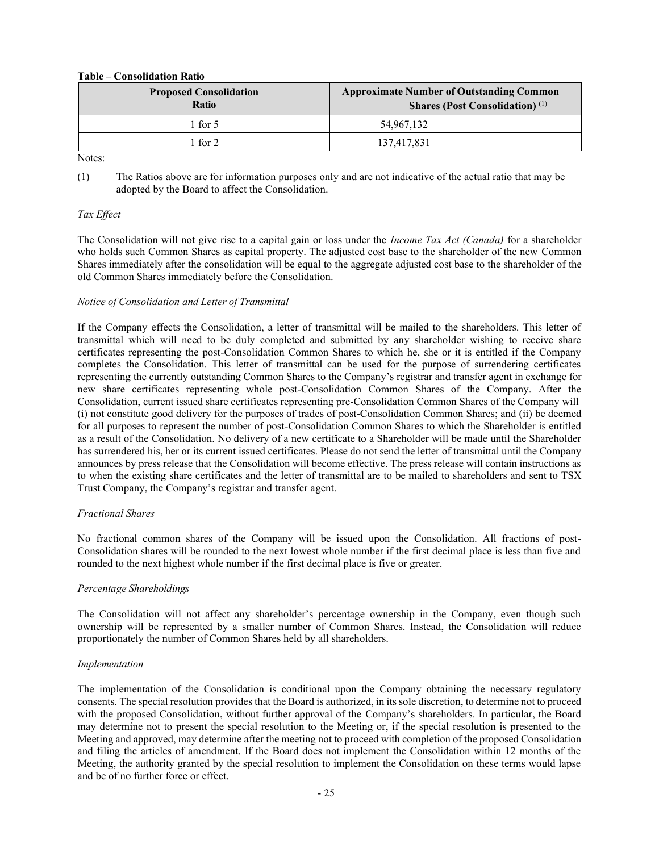### **Table ± Consolidation Ratio**

| <b>Proposed Consolidation</b><br><b>Ratio</b> | <b>Approximate Number of Outstanding Common</b><br><b>Shares (Post Consolidation)</b> <sup>(1)</sup> |
|-----------------------------------------------|------------------------------------------------------------------------------------------------------|
| l for 5                                       | 54.967.132                                                                                           |
| $\pm$ for 2                                   | 137,417,831                                                                                          |

Notes:

(1) The Ratios above are for information purposes only and are not indicative of the actual ratio that may be adopted by the Board to affect the Consolidation.

## *Tax Effect*

The Consolidation will not give rise to a capital gain or loss under the *Income Tax Act (Canada)* for a shareholder who holds such Common Shares as capital property. The adjusted cost base to the shareholder of the new Common Shares immediately after the consolidation will be equal to the aggregate adjusted cost base to the shareholder of the old Common Shares immediately before the Consolidation.

## *Notice of Consolidation and Letter of Transmittal*

If the Company effects the Consolidation, a letter of transmittal will be mailed to the shareholders. This letter of transmittal which will need to be duly completed and submitted by any shareholder wishing to receive share certificates representing the post-Consolidation Common Shares to which he, she or it is entitled if the Company completes the Consolidation. This letter of transmittal can be used for the purpose of surrendering certificates representing the currently outstanding Common Shares to the Company's registrar and transfer agent in exchange for new share certificates representing whole post-Consolidation Common Shares of the Company. After the Consolidation, current issued share certificates representing pre-Consolidation Common Shares of the Company will (i) not constitute good delivery for the purposes of trades of post-Consolidation Common Shares; and (ii) be deemed for all purposes to represent the number of post-Consolidation Common Shares to which the Shareholder is entitled as a result of the Consolidation. No delivery of a new certificate to a Shareholder will be made until the Shareholder has surrendered his, her or its current issued certificates. Please do not send the letter of transmittal until the Company announces by press release that the Consolidation will become effective. The press release will contain instructions as to when the existing share certificates and the letter of transmittal are to be mailed to shareholders and sent to TSX Trust Company, the Company's registrar and transfer agent.

## *Fractional Shares*

No fractional common shares of the Company will be issued upon the Consolidation. All fractions of post-Consolidation shares will be rounded to the next lowest whole number if the first decimal place is less than five and rounded to the next highest whole number if the first decimal place is five or greater.

## *Percentage Shareholdings*

The Consolidation will not affect any shareholder's percentage ownership in the Company, even though such ownership will be represented by a smaller number of Common Shares. Instead, the Consolidation will reduce proportionately the number of Common Shares held by all shareholders.

## *Implementation*

The implementation of the Consolidation is conditional upon the Company obtaining the necessary regulatory consents. The special resolution provides that the Board is authorized, in its sole discretion, to determine not to proceed with the proposed Consolidation, without further approval of the Company's shareholders. In particular, the Board may determine not to present the special resolution to the Meeting or, if the special resolution is presented to the Meeting and approved, may determine after the meeting not to proceed with completion of the proposed Consolidation and filing the articles of amendment. If the Board does not implement the Consolidation within 12 months of the Meeting, the authority granted by the special resolution to implement the Consolidation on these terms would lapse and be of no further force or effect.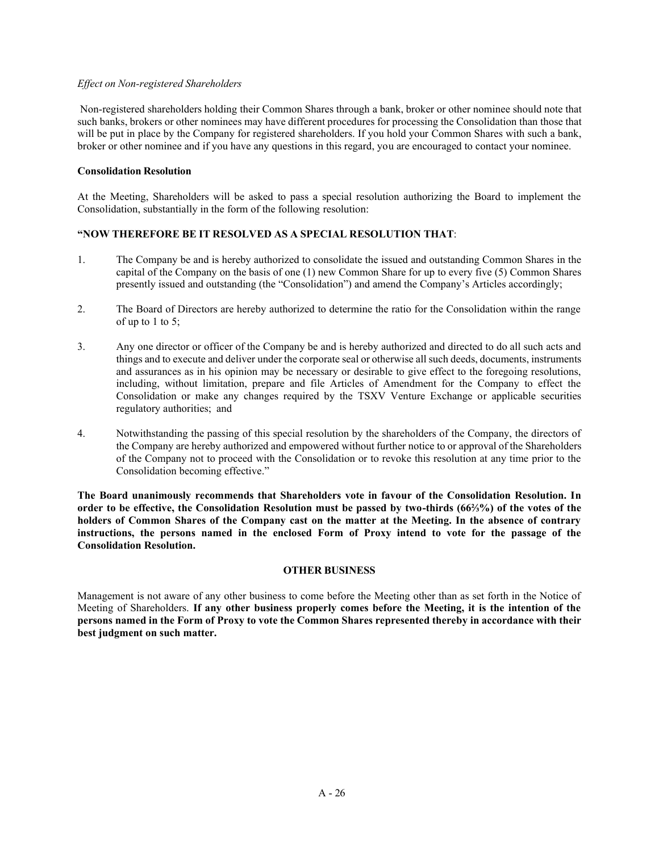### *Effect on Non-registered Shareholders*

Non-registered shareholders holding their Common Shares through a bank, broker or other nominee should note that such banks, brokers or other nominees may have different procedures for processing the Consolidation than those that will be put in place by the Company for registered shareholders. If you hold your Common Shares with such a bank, broker or other nominee and if you have any questions in this regard, you are encouraged to contact your nominee.

## **Consolidation Resolution**

At the Meeting, Shareholders will be asked to pass a special resolution authorizing the Board to implement the Consolidation, substantially in the form of the following resolution:

## **³NOW THEREFORE BE IT RESOLVED AS A SPECIAL RESOLUTION THAT**:

- 1. The Company be and is hereby authorized to consolidate the issued and outstanding Common Shares in the capital of the Company on the basis of one (1) new Common Share for up to every five (5) Common Shares presently issued and outstanding (the "Consolidation") and amend the Company's Articles accordingly;
- 2. The Board of Directors are hereby authorized to determine the ratio for the Consolidation within the range of up to  $1$  to  $5$ ;
- 3. Any one director or officer of the Company be and is hereby authorized and directed to do all such acts and things and to execute and deliver under the corporate seal or otherwise all such deeds, documents, instruments and assurances as in his opinion may be necessary or desirable to give effect to the foregoing resolutions, including, without limitation, prepare and file Articles of Amendment for the Company to effect the Consolidation or make any changes required by the TSXV Venture Exchange or applicable securities regulatory authorities; and
- 4. Notwithstanding the passing of this special resolution by the shareholders of the Company, the directors of the Company are hereby authorized and empowered without further notice to or approval of the Shareholders of the Company not to proceed with the Consolidation or to revoke this resolution at any time prior to the Consolidation becoming effective."

**The Board unanimously recommends that Shareholders vote in favour of the Consolidation Resolution. In**  order to be effective, the Consolidation Resolution must be passed by two-thirds (66<sup>2</sup>/<sub>3</sub>%) of the votes of the **holders of Common Shares of the Company cast on the matter at the Meeting. In the absence of contrary instructions, the persons named in the enclosed Form of Proxy intend to vote for the passage of the Consolidation Resolution.**

### **OTHER BUSINESS**

Management is not aware of any other business to come before the Meeting other than as set forth in the Notice of Meeting of Shareholders. **If any other business properly comes before the Meeting, it is the intention of the**  persons named in the Form of Proxy to vote the Common Shares represented thereby in accordance with their **best judgment on such matter.**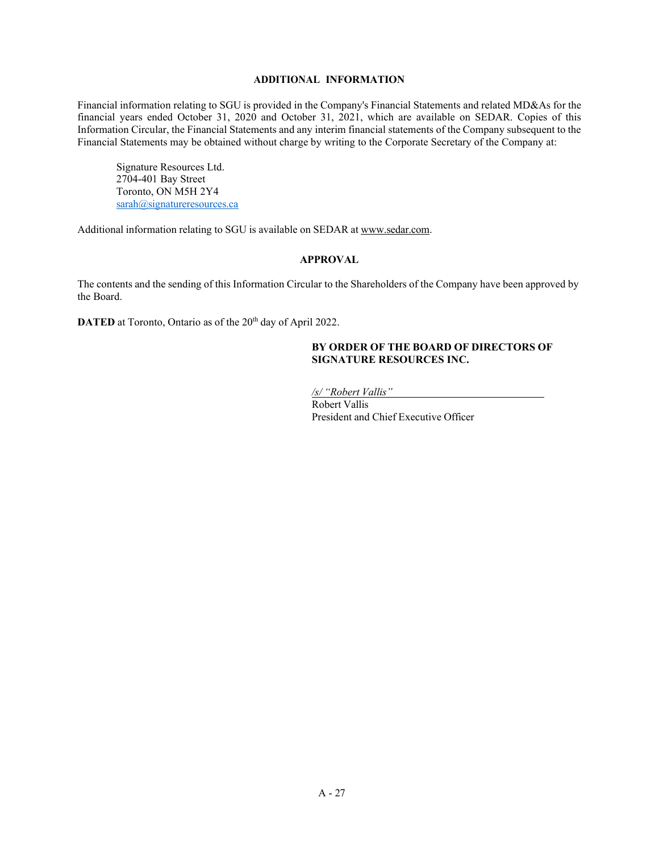### **ADDITIONAL INFORMATION**

Financial information relating to SGU is provided in the Company's Financial Statements and related MD&As for the financial years ended October 31, 2020 and October 31, 2021, which are available on SEDAR. Copies of this Information Circular, the Financial Statements and any interim financial statements of the Company subsequent to the Financial Statements may be obtained without charge by writing to the Corporate Secretary of the Company at:

Signature Resources Ltd. 2704-401 Bay Street Toronto, ON M5H 2Y4 [sarah@signatureresources.ca](mailto:sarah@signatureresources.ca)

Additional information relating to SGU is available on SEDAR at [www.sedar.com.](http://www.sedar.com/)

### **APPROVAL**

The contents and the sending of this Information Circular to the Shareholders of the Company have been approved by the Board.

**DATED** at Toronto, Ontario as of the 20<sup>th</sup> day of April 2022.

### **BY ORDER OF THE BOARD OF DIRECTORS OF SIGNATURE RESOURCES INC.**

*<u>/s/ "Robert Vallis"</u>* 

Robert Vallis President and Chief Executive Officer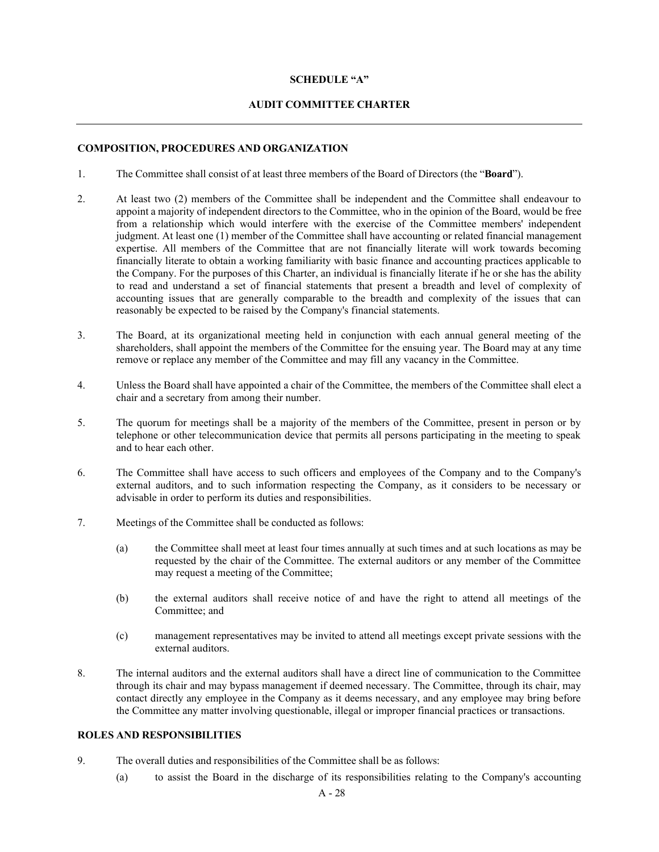### **SCHEDULE** "A"

### **AUDIT COMMITTEE CHARTER**

## **COMPOSITION, PROCEDURES AND ORGANIZATION**

- 1. The Committee shall consist of at least three members of the Board of Directors (the "**Board**").
- 2. At least two (2) members of the Committee shall be independent and the Committee shall endeavour to appoint a majority of independent directors to the Committee, who in the opinion of the Board, would be free from a relationship which would interfere with the exercise of the Committee members' independent judgment. At least one (1) member of the Committee shall have accounting or related financial management expertise. All members of the Committee that are not financially literate will work towards becoming financially literate to obtain a working familiarity with basic finance and accounting practices applicable to the Company. For the purposes of this Charter, an individual is financially literate if he or she has the ability to read and understand a set of financial statements that present a breadth and level of complexity of accounting issues that are generally comparable to the breadth and complexity of the issues that can reasonably be expected to be raised by the Company's financial statements.
- 3. The Board, at its organizational meeting held in conjunction with each annual general meeting of the shareholders, shall appoint the members of the Committee for the ensuing year. The Board may at any time remove or replace any member of the Committee and may fill any vacancy in the Committee.
- 4. Unless the Board shall have appointed a chair of the Committee, the members of the Committee shall elect a chair and a secretary from among their number.
- 5. The quorum for meetings shall be a majority of the members of the Committee, present in person or by telephone or other telecommunication device that permits all persons participating in the meeting to speak and to hear each other.
- 6. The Committee shall have access to such officers and employees of the Company and to the Company's external auditors, and to such information respecting the Company, as it considers to be necessary or advisable in order to perform its duties and responsibilities.
- 7. Meetings of the Committee shall be conducted as follows:
	- (a) the Committee shall meet at least four times annually at such times and at such locations as may be requested by the chair of the Committee. The external auditors or any member of the Committee may request a meeting of the Committee;
	- (b) the external auditors shall receive notice of and have the right to attend all meetings of the Committee; and
	- (c) management representatives may be invited to attend all meetings except private sessions with the external auditors.
- 8. The internal auditors and the external auditors shall have a direct line of communication to the Committee through its chair and may bypass management if deemed necessary. The Committee, through its chair, may contact directly any employee in the Company as it deems necessary, and any employee may bring before the Committee any matter involving questionable, illegal or improper financial practices or transactions.

### **ROLES AND RESPONSIBILITIES**

- 9. The overall duties and responsibilities of the Committee shall be as follows:
	- (a) to assist the Board in the discharge of its responsibilities relating to the Company's accounting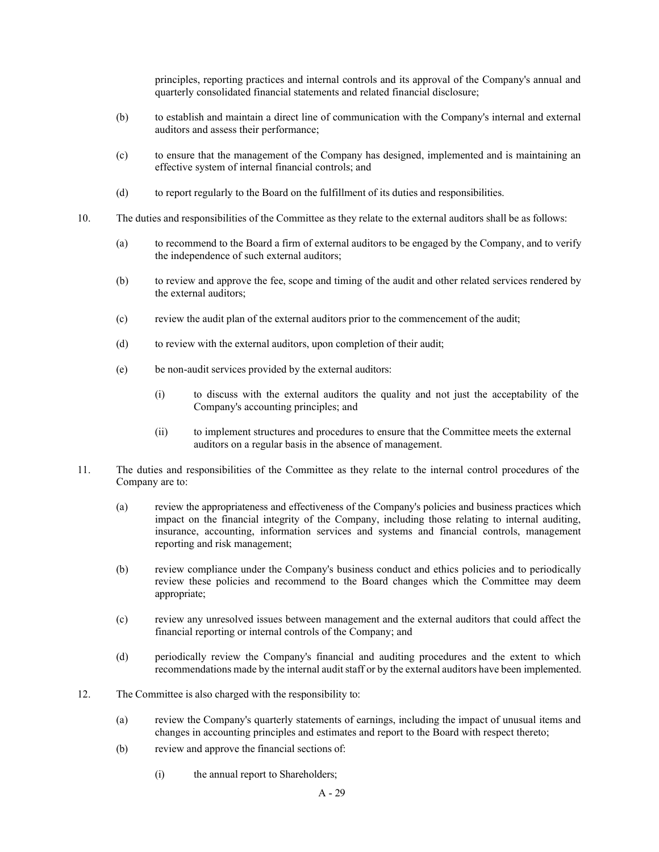principles, reporting practices and internal controls and its approval of the Company's annual and quarterly consolidated financial statements and related financial disclosure;

- (b) to establish and maintain a direct line of communication with the Company's internal and external auditors and assess their performance;
- (c) to ensure that the management of the Company has designed, implemented and is maintaining an effective system of internal financial controls; and
- (d) to report regularly to the Board on the fulfillment of its duties and responsibilities.
- 10. The duties and responsibilities of the Committee as they relate to the external auditors shall be as follows:
	- (a) to recommend to the Board a firm of external auditors to be engaged by the Company, and to verify the independence of such external auditors;
	- (b) to review and approve the fee, scope and timing of the audit and other related services rendered by the external auditors;
	- (c) review the audit plan of the external auditors prior to the commencement of the audit;
	- (d) to review with the external auditors, upon completion of their audit;
	- (e) be non-audit services provided by the external auditors:
		- (i) to discuss with the external auditors the quality and not just the acceptability of the Company's accounting principles; and
		- (ii) to implement structures and procedures to ensure that the Committee meets the external auditors on a regular basis in the absence of management.
- 11. The duties and responsibilities of the Committee as they relate to the internal control procedures of the Company are to:
	- (a) review the appropriateness and effectiveness of the Company's policies and business practices which impact on the financial integrity of the Company, including those relating to internal auditing, insurance, accounting, information services and systems and financial controls, management reporting and risk management;
	- (b) review compliance under the Company's business conduct and ethics policies and to periodically review these policies and recommend to the Board changes which the Committee may deem appropriate;
	- (c) review any unresolved issues between management and the external auditors that could affect the financial reporting or internal controls of the Company; and
	- (d) periodically review the Company's financial and auditing procedures and the extent to which recommendations made by the internal audit staff or by the external auditors have been implemented.
- 12. The Committee is also charged with the responsibility to:
	- (a) review the Company's quarterly statements of earnings, including the impact of unusual items and changes in accounting principles and estimates and report to the Board with respect thereto;
	- (b) review and approve the financial sections of:
		- (i) the annual report to Shareholders;